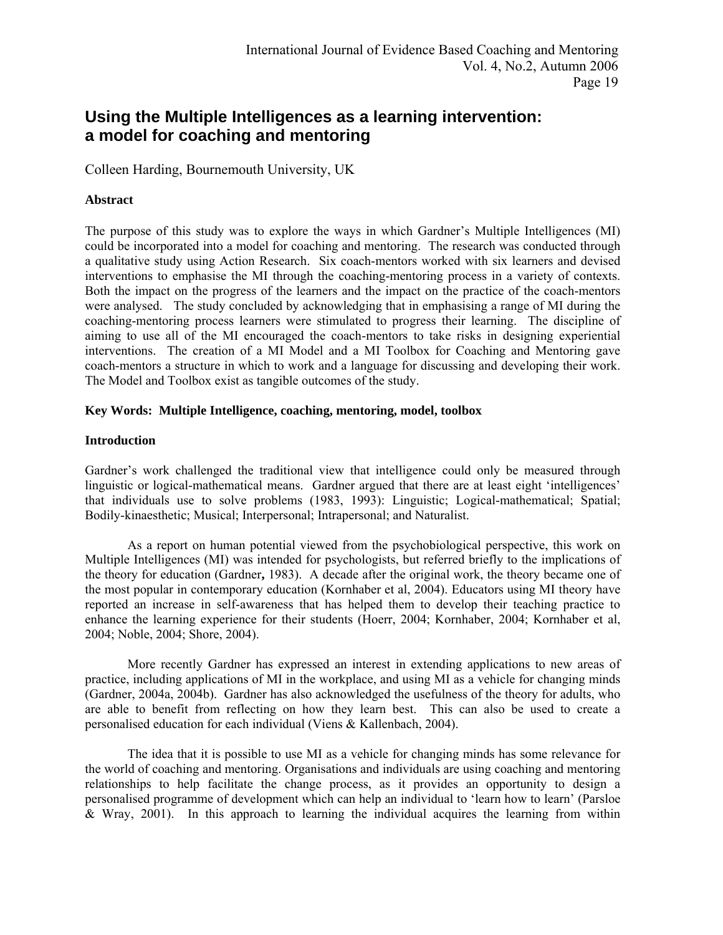# **Using the Multiple Intelligences as a learning intervention: a model for coaching and mentoring**

Colleen Harding, Bournemouth University, UK

# **Abstract**

The purpose of this study was to explore the ways in which Gardner's Multiple Intelligences (MI) could be incorporated into a model for coaching and mentoring. The research was conducted through a qualitative study using Action Research. Six coach-mentors worked with six learners and devised interventions to emphasise the MI through the coaching-mentoring process in a variety of contexts. Both the impact on the progress of the learners and the impact on the practice of the coach-mentors were analysed. The study concluded by acknowledging that in emphasising a range of MI during the coaching-mentoring process learners were stimulated to progress their learning. The discipline of aiming to use all of the MI encouraged the coach-mentors to take risks in designing experiential interventions. The creation of a MI Model and a MI Toolbox for Coaching and Mentoring gave coach-mentors a structure in which to work and a language for discussing and developing their work. The Model and Toolbox exist as tangible outcomes of the study.

# **Key Words: Multiple Intelligence, coaching, mentoring, model, toolbox**

## **Introduction**

Gardner's work challenged the traditional view that intelligence could only be measured through linguistic or logical-mathematical means. Gardner argued that there are at least eight 'intelligences' that individuals use to solve problems (1983, 1993): Linguistic; Logical-mathematical; Spatial; Bodily-kinaesthetic; Musical; Interpersonal; Intrapersonal; and Naturalist.

As a report on human potential viewed from the psychobiological perspective, this work on Multiple Intelligences (MI) was intended for psychologists, but referred briefly to the implications of the theory for education (Gardner**,** 1983). A decade after the original work, the theory became one of the most popular in contemporary education (Kornhaber et al, 2004). Educators using MI theory have reported an increase in self-awareness that has helped them to develop their teaching practice to enhance the learning experience for their students (Hoerr, 2004; Kornhaber, 2004; Kornhaber et al, 2004; Noble, 2004; Shore, 2004).

More recently Gardner has expressed an interest in extending applications to new areas of practice, including applications of MI in the workplace, and using MI as a vehicle for changing minds (Gardner, 2004a, 2004b). Gardner has also acknowledged the usefulness of the theory for adults, who are able to benefit from reflecting on how they learn best. This can also be used to create a personalised education for each individual (Viens & Kallenbach, 2004).

The idea that it is possible to use MI as a vehicle for changing minds has some relevance for the world of coaching and mentoring. Organisations and individuals are using coaching and mentoring relationships to help facilitate the change process, as it provides an opportunity to design a personalised programme of development which can help an individual to 'learn how to learn' (Parsloe & Wray, 2001). In this approach to learning the individual acquires the learning from within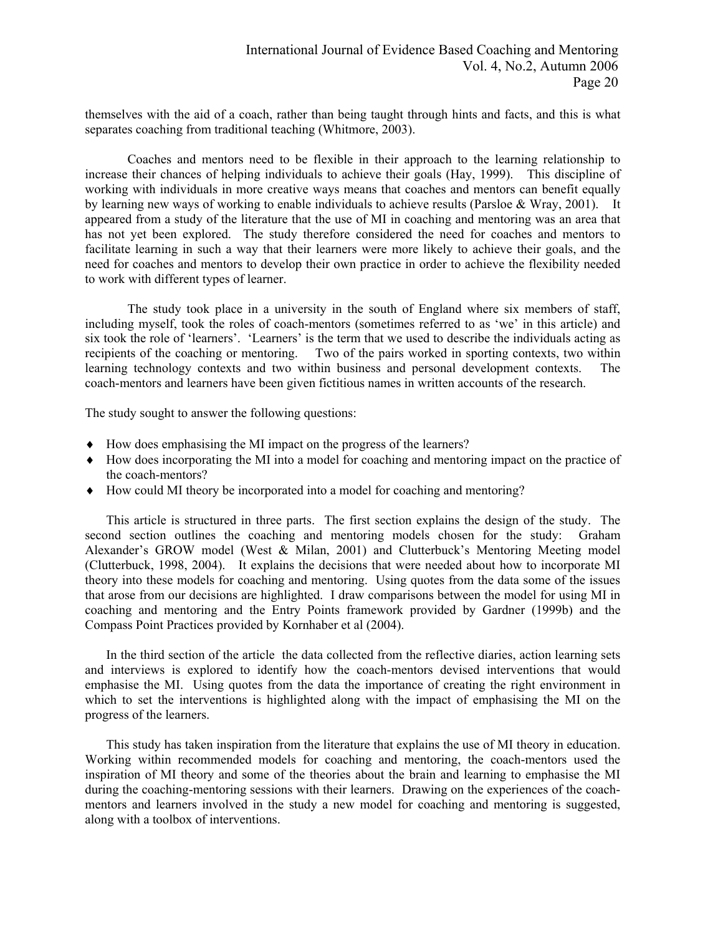themselves with the aid of a coach, rather than being taught through hints and facts, and this is what separates coaching from traditional teaching (Whitmore, 2003).

Coaches and mentors need to be flexible in their approach to the learning relationship to increase their chances of helping individuals to achieve their goals (Hay, 1999). This discipline of working with individuals in more creative ways means that coaches and mentors can benefit equally by learning new ways of working to enable individuals to achieve results (Parsloe & Wray, 2001). It appeared from a study of the literature that the use of MI in coaching and mentoring was an area that has not yet been explored. The study therefore considered the need for coaches and mentors to facilitate learning in such a way that their learners were more likely to achieve their goals, and the need for coaches and mentors to develop their own practice in order to achieve the flexibility needed to work with different types of learner.

The study took place in a university in the south of England where six members of staff, including myself, took the roles of coach-mentors (sometimes referred to as 'we' in this article) and six took the role of 'learners'. 'Learners' is the term that we used to describe the individuals acting as recipients of the coaching or mentoring. Two of the pairs worked in sporting contexts, two within learning technology contexts and two within business and personal development contexts. The coach-mentors and learners have been given fictitious names in written accounts of the research.

The study sought to answer the following questions:

- ♦ How does emphasising the MI impact on the progress of the learners?
- ♦ How does incorporating the MI into a model for coaching and mentoring impact on the practice of the coach-mentors?
- ♦ How could MI theory be incorporated into a model for coaching and mentoring?

This article is structured in three parts. The first section explains the design of the study. The second section outlines the coaching and mentoring models chosen for the study: Graham Alexander's GROW model (West & Milan, 2001) and Clutterbuck's Mentoring Meeting model (Clutterbuck, 1998, 2004). It explains the decisions that were needed about how to incorporate MI theory into these models for coaching and mentoring. Using quotes from the data some of the issues that arose from our decisions are highlighted. I draw comparisons between the model for using MI in coaching and mentoring and the Entry Points framework provided by Gardner (1999b) and the Compass Point Practices provided by Kornhaber et al (2004).

In the third section of the article the data collected from the reflective diaries, action learning sets and interviews is explored to identify how the coach-mentors devised interventions that would emphasise the MI. Using quotes from the data the importance of creating the right environment in which to set the interventions is highlighted along with the impact of emphasising the MI on the progress of the learners.

This study has taken inspiration from the literature that explains the use of MI theory in education. Working within recommended models for coaching and mentoring, the coach-mentors used the inspiration of MI theory and some of the theories about the brain and learning to emphasise the MI during the coaching-mentoring sessions with their learners. Drawing on the experiences of the coachmentors and learners involved in the study a new model for coaching and mentoring is suggested, along with a toolbox of interventions.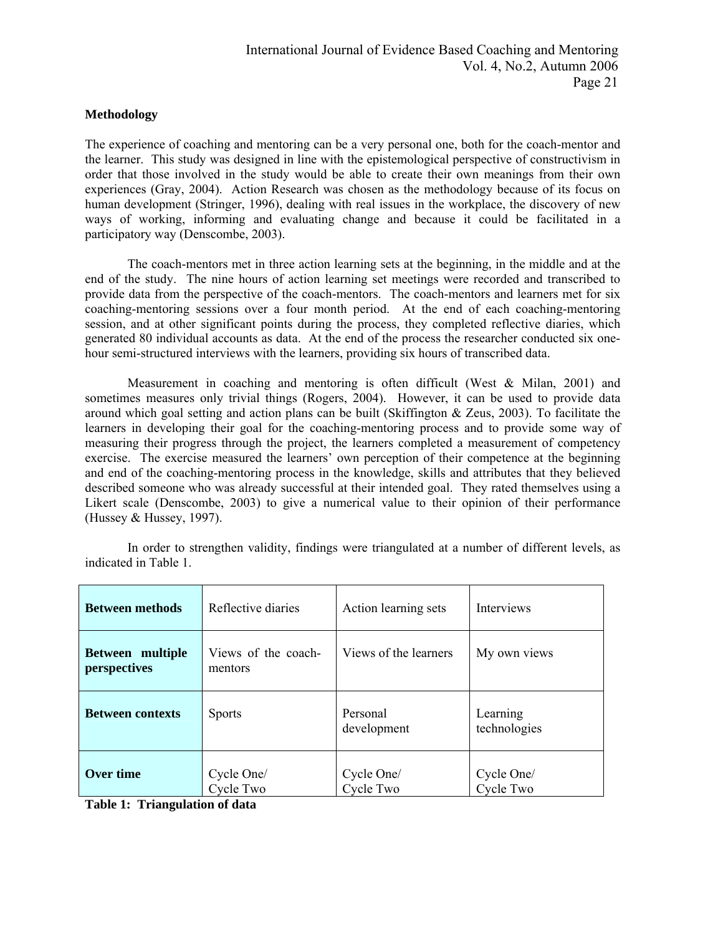## **Methodology**

The experience of coaching and mentoring can be a very personal one, both for the coach-mentor and the learner. This study was designed in line with the epistemological perspective of constructivism in order that those involved in the study would be able to create their own meanings from their own experiences (Gray, 2004). Action Research was chosen as the methodology because of its focus on human development (Stringer, 1996), dealing with real issues in the workplace, the discovery of new ways of working, informing and evaluating change and because it could be facilitated in a participatory way (Denscombe, 2003).

The coach-mentors met in three action learning sets at the beginning, in the middle and at the end of the study. The nine hours of action learning set meetings were recorded and transcribed to provide data from the perspective of the coach-mentors. The coach-mentors and learners met for six coaching-mentoring sessions over a four month period. At the end of each coaching-mentoring session, and at other significant points during the process, they completed reflective diaries, which generated 80 individual accounts as data. At the end of the process the researcher conducted six onehour semi-structured interviews with the learners, providing six hours of transcribed data.

Measurement in coaching and mentoring is often difficult (West & Milan, 2001) and sometimes measures only trivial things (Rogers, 2004). However, it can be used to provide data around which goal setting and action plans can be built (Skiffington & Zeus, 2003). To facilitate the learners in developing their goal for the coaching-mentoring process and to provide some way of measuring their progress through the project, the learners completed a measurement of competency exercise. The exercise measured the learners' own perception of their competence at the beginning and end of the coaching-mentoring process in the knowledge, skills and attributes that they believed described someone who was already successful at their intended goal. They rated themselves using a Likert scale (Denscombe, 2003) to give a numerical value to their opinion of their performance (Hussey  $&$  Hussey, 1997).

| <b>Between methods</b>           | Reflective diaries             | Action learning sets    | Interviews               |
|----------------------------------|--------------------------------|-------------------------|--------------------------|
| Between multiple<br>perspectives | Views of the coach-<br>mentors | Views of the learners   | My own views             |
| <b>Between contexts</b>          | <b>Sports</b>                  | Personal<br>development | Learning<br>technologies |
| Over time                        | Cycle One/<br>Cycle Two        | Cycle One/<br>Cycle Two | Cycle One/<br>Cycle Two  |

In order to strengthen validity, findings were triangulated at a number of different levels, as indicated in Table 1.

**Table 1: Triangulation of data**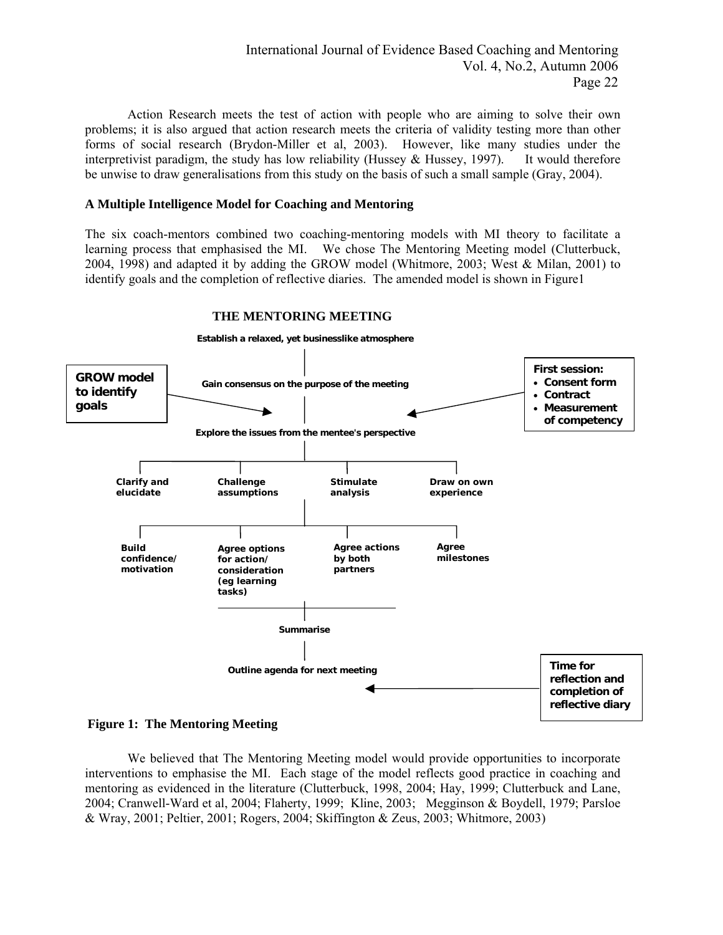Action Research meets the test of action with people who are aiming to solve their own problems; it is also argued that action research meets the criteria of validity testing more than other forms of social research (Brydon-Miller et al, 2003). However, like many studies under the interpretivist paradigm, the study has low reliability (Hussey & Hussey, 1997). It would therefore be unwise to draw generalisations from this study on the basis of such a small sample (Gray, 2004).

## **A Multiple Intelligence Model for Coaching and Mentoring**

The six coach-mentors combined two coaching-mentoring models with MI theory to facilitate a learning process that emphasised the MI. We chose The Mentoring Meeting model (Clutterbuck, 2004, 1998) and adapted it by adding the GROW model (Whitmore, 2003; West & Milan, 2001) to identify goals and the completion of reflective diaries. The amended model is shown in Figure1



# **THE MENTORING MEETING**

**Figure 1: The Mentoring Meeting** 

We believed that The Mentoring Meeting model would provide opportunities to incorporate interventions to emphasise the MI. Each stage of the model reflects good practice in coaching and mentoring as evidenced in the literature (Clutterbuck, 1998, 2004; Hay, 1999; Clutterbuck and Lane, 2004; Cranwell-Ward et al, 2004; Flaherty, 1999; Kline, 2003; Megginson & Boydell, 1979; Parsloe & Wray, 2001; Peltier, 2001; Rogers, 2004; Skiffington & Zeus, 2003; Whitmore, 2003)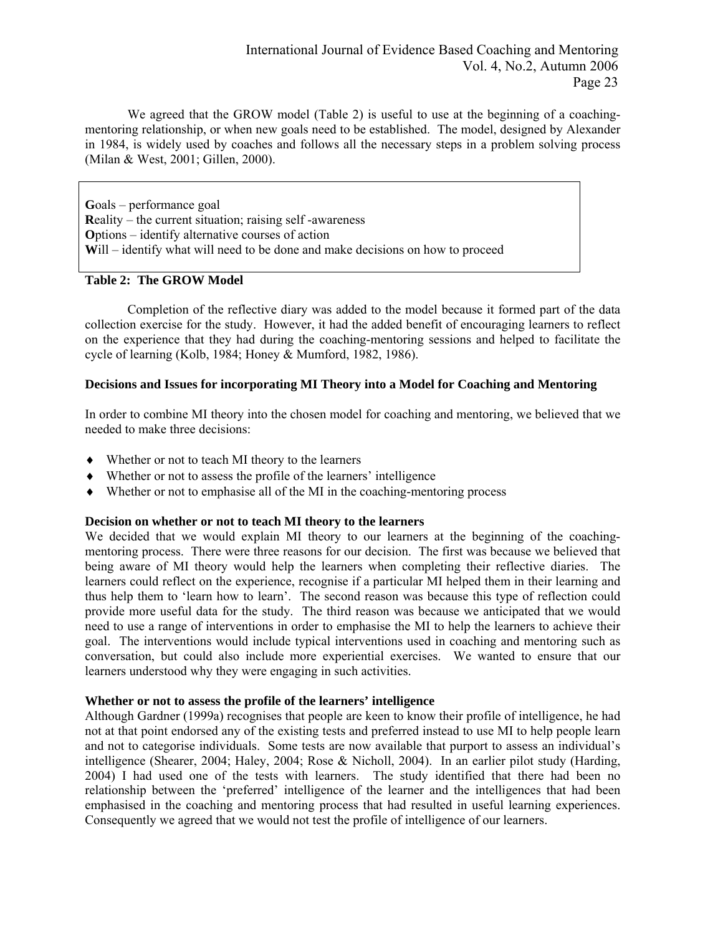We agreed that the GROW model (Table 2) is useful to use at the beginning of a coachingmentoring relationship, or when new goals need to be established. The model, designed by Alexander in 1984, is widely used by coaches and follows all the necessary steps in a problem solving process (Milan & West, 2001; Gillen, 2000).

**G**oals – performance goal **R**eality – the current situation; raising self -awareness **O**ptions – identify alternative courses of action **W**ill – identify what will need to be done and make decisions on how to proceed

# **Table 2: The GROW Model**

Completion of the reflective diary was added to the model because it formed part of the data collection exercise for the study. However, it had the added benefit of encouraging learners to reflect on the experience that they had during the coaching-mentoring sessions and helped to facilitate the cycle of learning (Kolb, 1984; Honey & Mumford, 1982, 1986).

#### **Decisions and Issues for incorporating MI Theory into a Model for Coaching and Mentoring**

In order to combine MI theory into the chosen model for coaching and mentoring, we believed that we needed to make three decisions:

- ♦ Whether or not to teach MI theory to the learners
- ♦ Whether or not to assess the profile of the learners' intelligence
- ♦ Whether or not to emphasise all of the MI in the coaching-mentoring process

#### **Decision on whether or not to teach MI theory to the learners**

We decided that we would explain MI theory to our learners at the beginning of the coachingmentoring process. There were three reasons for our decision. The first was because we believed that being aware of MI theory would help the learners when completing their reflective diaries. The learners could reflect on the experience, recognise if a particular MI helped them in their learning and thus help them to 'learn how to learn'. The second reason was because this type of reflection could provide more useful data for the study. The third reason was because we anticipated that we would need to use a range of interventions in order to emphasise the MI to help the learners to achieve their goal. The interventions would include typical interventions used in coaching and mentoring such as conversation, but could also include more experiential exercises. We wanted to ensure that our learners understood why they were engaging in such activities.

#### **Whether or not to assess the profile of the learners' intelligence**

Although Gardner (1999a) recognises that people are keen to know their profile of intelligence, he had not at that point endorsed any of the existing tests and preferred instead to use MI to help people learn and not to categorise individuals. Some tests are now available that purport to assess an individual's intelligence (Shearer, 2004; Haley, 2004; Rose & Nicholl, 2004). In an earlier pilot study (Harding, 2004) I had used one of the tests with learners. The study identified that there had been no relationship between the 'preferred' intelligence of the learner and the intelligences that had been emphasised in the coaching and mentoring process that had resulted in useful learning experiences. Consequently we agreed that we would not test the profile of intelligence of our learners.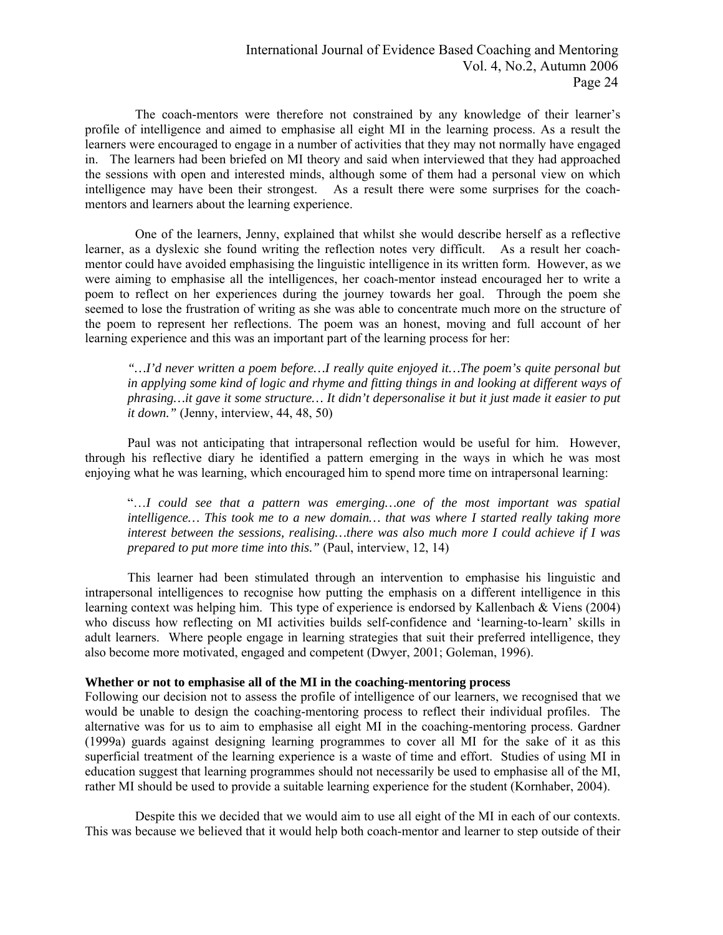The coach-mentors were therefore not constrained by any knowledge of their learner's profile of intelligence and aimed to emphasise all eight MI in the learning process. As a result the learners were encouraged to engage in a number of activities that they may not normally have engaged in. The learners had been briefed on MI theory and said when interviewed that they had approached the sessions with open and interested minds, although some of them had a personal view on which intelligence may have been their strongest. As a result there were some surprises for the coachmentors and learners about the learning experience.

 One of the learners, Jenny, explained that whilst she would describe herself as a reflective learner, as a dyslexic she found writing the reflection notes very difficult. As a result her coachmentor could have avoided emphasising the linguistic intelligence in its written form. However, as we were aiming to emphasise all the intelligences, her coach-mentor instead encouraged her to write a poem to reflect on her experiences during the journey towards her goal. Through the poem she seemed to lose the frustration of writing as she was able to concentrate much more on the structure of the poem to represent her reflections. The poem was an honest, moving and full account of her learning experience and this was an important part of the learning process for her:

*"…I'd never written a poem before…I really quite enjoyed it…The poem's quite personal but in applying some kind of logic and rhyme and fitting things in and looking at different ways of phrasing…it gave it some structure… It didn't depersonalise it but it just made it easier to put it down."* (Jenny, interview, 44, 48, 50)

Paul was not anticipating that intrapersonal reflection would be useful for him. However, through his reflective diary he identified a pattern emerging in the ways in which he was most enjoying what he was learning, which encouraged him to spend more time on intrapersonal learning:

"…*I could see that a pattern was emerging…one of the most important was spatial intelligence… This took me to a new domain… that was where I started really taking more interest between the sessions, realising…there was also much more I could achieve if I was prepared to put more time into this."* (Paul, interview, 12, 14)

This learner had been stimulated through an intervention to emphasise his linguistic and intrapersonal intelligences to recognise how putting the emphasis on a different intelligence in this learning context was helping him. This type of experience is endorsed by Kallenbach & Viens (2004) who discuss how reflecting on MI activities builds self-confidence and 'learning-to-learn' skills in adult learners. Where people engage in learning strategies that suit their preferred intelligence, they also become more motivated, engaged and competent (Dwyer, 2001; Goleman, 1996).

#### **Whether or not to emphasise all of the MI in the coaching-mentoring process**

Following our decision not to assess the profile of intelligence of our learners, we recognised that we would be unable to design the coaching-mentoring process to reflect their individual profiles. The alternative was for us to aim to emphasise all eight MI in the coaching-mentoring process. Gardner (1999a) guards against designing learning programmes to cover all MI for the sake of it as this superficial treatment of the learning experience is a waste of time and effort. Studies of using MI in education suggest that learning programmes should not necessarily be used to emphasise all of the MI, rather MI should be used to provide a suitable learning experience for the student (Kornhaber, 2004).

 Despite this we decided that we would aim to use all eight of the MI in each of our contexts. This was because we believed that it would help both coach-mentor and learner to step outside of their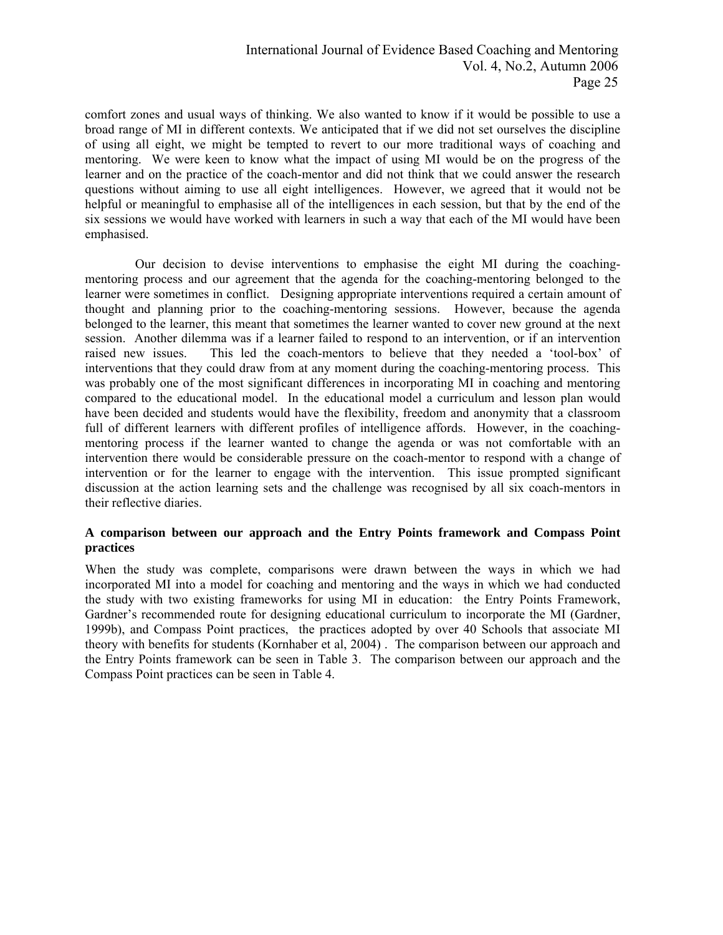comfort zones and usual ways of thinking. We also wanted to know if it would be possible to use a broad range of MI in different contexts. We anticipated that if we did not set ourselves the discipline of using all eight, we might be tempted to revert to our more traditional ways of coaching and mentoring. We were keen to know what the impact of using MI would be on the progress of the learner and on the practice of the coach-mentor and did not think that we could answer the research questions without aiming to use all eight intelligences. However, we agreed that it would not be helpful or meaningful to emphasise all of the intelligences in each session, but that by the end of the six sessions we would have worked with learners in such a way that each of the MI would have been emphasised.

 Our decision to devise interventions to emphasise the eight MI during the coachingmentoring process and our agreement that the agenda for the coaching-mentoring belonged to the learner were sometimes in conflict. Designing appropriate interventions required a certain amount of thought and planning prior to the coaching-mentoring sessions. However, because the agenda belonged to the learner, this meant that sometimes the learner wanted to cover new ground at the next session. Another dilemma was if a learner failed to respond to an intervention, or if an intervention raised new issues. This led the coach-mentors to believe that they needed a 'tool-box' of interventions that they could draw from at any moment during the coaching-mentoring process. This was probably one of the most significant differences in incorporating MI in coaching and mentoring compared to the educational model. In the educational model a curriculum and lesson plan would have been decided and students would have the flexibility, freedom and anonymity that a classroom full of different learners with different profiles of intelligence affords. However, in the coachingmentoring process if the learner wanted to change the agenda or was not comfortable with an intervention there would be considerable pressure on the coach-mentor to respond with a change of intervention or for the learner to engage with the intervention. This issue prompted significant discussion at the action learning sets and the challenge was recognised by all six coach-mentors in their reflective diaries.

# **A comparison between our approach and the Entry Points framework and Compass Point practices**

When the study was complete, comparisons were drawn between the ways in which we had incorporated MI into a model for coaching and mentoring and the ways in which we had conducted the study with two existing frameworks for using MI in education: the Entry Points Framework, Gardner's recommended route for designing educational curriculum to incorporate the MI (Gardner, 1999b), and Compass Point practices, the practices adopted by over 40 Schools that associate MI theory with benefits for students (Kornhaber et al, 2004) . The comparison between our approach and the Entry Points framework can be seen in Table 3. The comparison between our approach and the Compass Point practices can be seen in Table 4.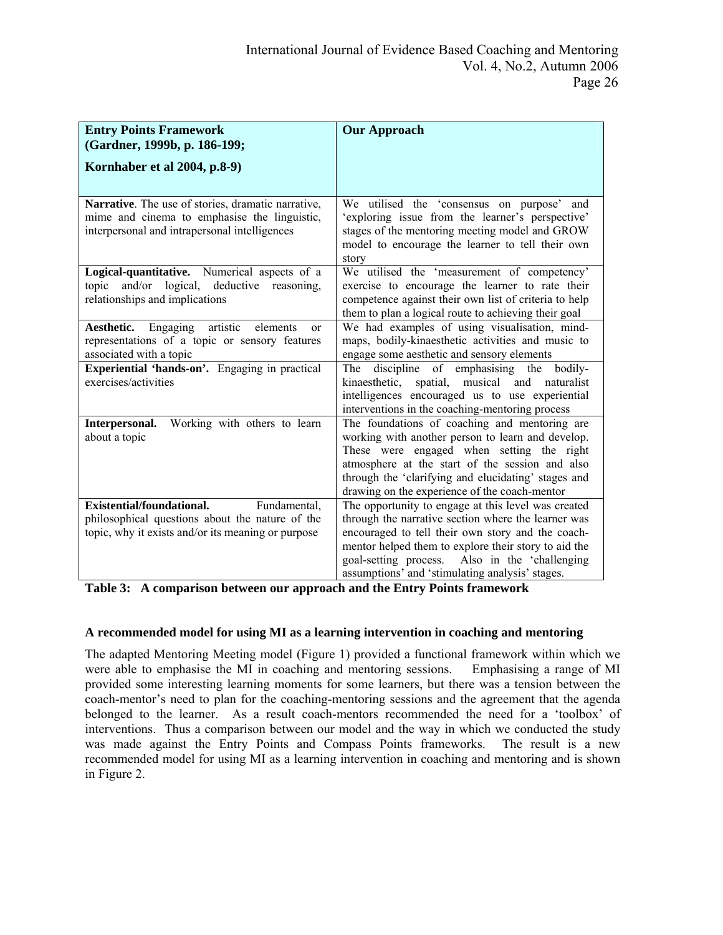| <b>Entry Points Framework</b><br>(Gardner, 1999b, p. 186-199;                                                                                       | <b>Our Approach</b>                                                                                                                                                                                                                                                                                                          |
|-----------------------------------------------------------------------------------------------------------------------------------------------------|------------------------------------------------------------------------------------------------------------------------------------------------------------------------------------------------------------------------------------------------------------------------------------------------------------------------------|
| Kornhaber et al 2004, p.8-9)                                                                                                                        |                                                                                                                                                                                                                                                                                                                              |
| Narrative. The use of stories, dramatic narrative,<br>mime and cinema to emphasise the linguistic,<br>interpersonal and intrapersonal intelligences | We utilised the 'consensus on purpose'<br>and<br>'exploring issue from the learner's perspective'<br>stages of the mentoring meeting model and GROW<br>model to encourage the learner to tell their own<br>story                                                                                                             |
| Logical-quantitative. Numerical aspects of a<br>topic and/or logical, deductive reasoning,<br>relationships and implications                        | We utilised the 'measurement of competency'<br>exercise to encourage the learner to rate their<br>competence against their own list of criteria to help<br>them to plan a logical route to achieving their goal                                                                                                              |
| Engaging<br>artistic elements<br>Aesthetic.<br><sub>or</sub><br>representations of a topic or sensory features<br>associated with a topic           | We had examples of using visualisation, mind-<br>maps, bodily-kinaesthetic activities and music to<br>engage some aesthetic and sensory elements                                                                                                                                                                             |
| Experiential 'hands-on'. Engaging in practical<br>exercises/activities                                                                              | The<br>discipline<br>bodily-<br>of emphasising<br>the<br>spatial, musical and<br>kinaesthetic,<br>naturalist<br>intelligences encouraged us to use experiential<br>interventions in the coaching-mentoring process                                                                                                           |
| Working with others to learn<br>Interpersonal.<br>about a topic                                                                                     | The foundations of coaching and mentoring are<br>working with another person to learn and develop.<br>These were engaged when setting the right<br>atmosphere at the start of the session and also<br>through the 'clarifying and elucidating' stages and<br>drawing on the experience of the coach-mentor                   |
| Existential/foundational.<br>Fundamental,<br>philosophical questions about the nature of the<br>topic, why it exists and/or its meaning or purpose  | The opportunity to engage at this level was created<br>through the narrative section where the learner was<br>encouraged to tell their own story and the coach-<br>mentor helped them to explore their story to aid the<br>goal-setting process. Also in the 'challenging<br>assumptions' and 'stimulating analysis' stages. |

**Table 3: A comparison between our approach and the Entry Points framework** 

# **A recommended model for using MI as a learning intervention in coaching and mentoring**

The adapted Mentoring Meeting model (Figure 1) provided a functional framework within which we were able to emphasise the MI in coaching and mentoring sessions. Emphasising a range of MI provided some interesting learning moments for some learners, but there was a tension between the coach-mentor's need to plan for the coaching-mentoring sessions and the agreement that the agenda belonged to the learner. As a result coach-mentors recommended the need for a 'toolbox' of interventions. Thus a comparison between our model and the way in which we conducted the study was made against the Entry Points and Compass Points frameworks. The result is a new recommended model for using MI as a learning intervention in coaching and mentoring and is shown in Figure 2.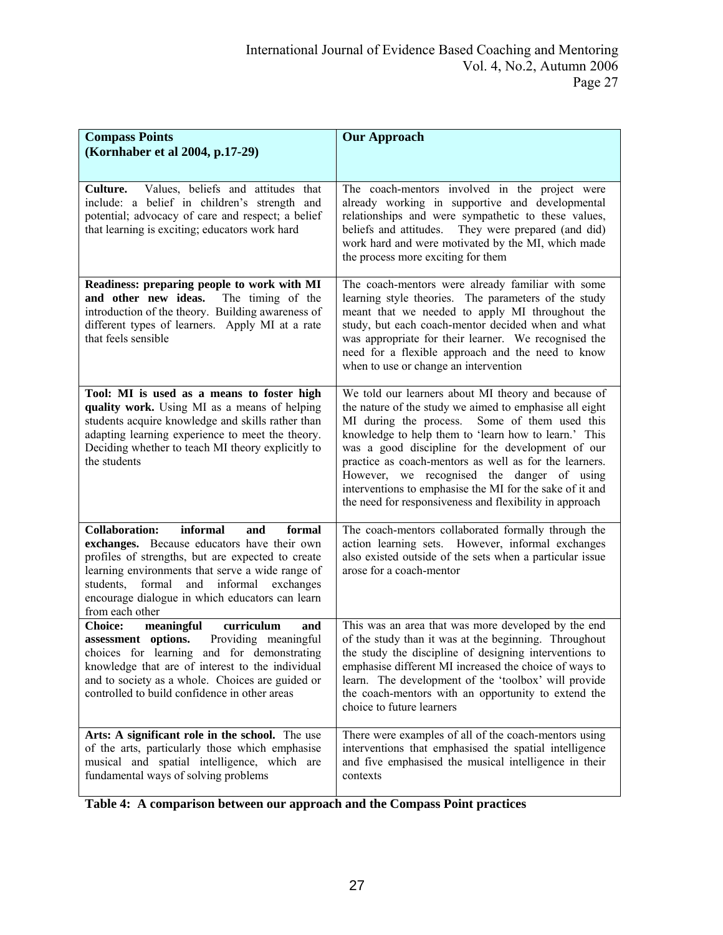| <b>Compass Points</b>                                                                                                                                                                                                                                                                                                             | <b>Our Approach</b>                                                                                                                                                                                                                                                                                                                                                                                                                                                                                           |
|-----------------------------------------------------------------------------------------------------------------------------------------------------------------------------------------------------------------------------------------------------------------------------------------------------------------------------------|---------------------------------------------------------------------------------------------------------------------------------------------------------------------------------------------------------------------------------------------------------------------------------------------------------------------------------------------------------------------------------------------------------------------------------------------------------------------------------------------------------------|
| (Kornhaber et al 2004, p.17-29)                                                                                                                                                                                                                                                                                                   |                                                                                                                                                                                                                                                                                                                                                                                                                                                                                                               |
| Values, beliefs and attitudes that<br>Culture.<br>include: a belief in children's strength and<br>potential; advocacy of care and respect; a belief<br>that learning is exciting; educators work hard                                                                                                                             | The coach-mentors involved in the project were<br>already working in supportive and developmental<br>relationships and were sympathetic to these values,<br>beliefs and attitudes.<br>They were prepared (and did)<br>work hard and were motivated by the MI, which made<br>the process more exciting for them                                                                                                                                                                                                |
| Readiness: preparing people to work with MI<br>and other new ideas.<br>The timing of the<br>introduction of the theory. Building awareness of<br>different types of learners. Apply MI at a rate<br>that feels sensible                                                                                                           | The coach-mentors were already familiar with some<br>learning style theories. The parameters of the study<br>meant that we needed to apply MI throughout the<br>study, but each coach-mentor decided when and what<br>was appropriate for their learner. We recognised the<br>need for a flexible approach and the need to know<br>when to use or change an intervention                                                                                                                                      |
| Tool: MI is used as a means to foster high<br>quality work. Using MI as a means of helping<br>students acquire knowledge and skills rather than<br>adapting learning experience to meet the theory.<br>Deciding whether to teach MI theory explicitly to<br>the students                                                          | We told our learners about MI theory and because of<br>the nature of the study we aimed to emphasise all eight<br>Some of them used this<br>MI during the process.<br>knowledge to help them to 'learn how to learn.' This<br>was a good discipline for the development of our<br>practice as coach-mentors as well as for the learners.<br>However, we recognised the danger of using<br>interventions to emphasise the MI for the sake of it and<br>the need for responsiveness and flexibility in approach |
| informal<br><b>Collaboration:</b><br>formal<br>and<br>exchanges. Because educators have their own<br>profiles of strengths, but are expected to create<br>learning environments that serve a wide range of<br>students,<br>formal and informal<br>exchanges<br>encourage dialogue in which educators can learn<br>from each other | The coach-mentors collaborated formally through the<br>action learning sets. However, informal exchanges<br>also existed outside of the sets when a particular issue<br>arose for a coach-mentor                                                                                                                                                                                                                                                                                                              |
| <b>Choice:</b><br>curriculum<br>meaningful<br>and<br>assessment options.<br>Providing meaningful<br>choices for learning and for demonstrating<br>knowledge that are of interest to the individual<br>and to society as a whole. Choices are guided or<br>controlled to build confidence in other areas                           | This was an area that was more developed by the end<br>of the study than it was at the beginning. Throughout<br>the study the discipline of designing interventions to<br>emphasise different MI increased the choice of ways to<br>learn. The development of the 'toolbox' will provide<br>the coach-mentors with an opportunity to extend the<br>choice to future learners                                                                                                                                  |
| Arts: A significant role in the school. The use<br>of the arts, particularly those which emphasise<br>musical and spatial intelligence, which are<br>fundamental ways of solving problems                                                                                                                                         | There were examples of all of the coach-mentors using<br>interventions that emphasised the spatial intelligence<br>and five emphasised the musical intelligence in their<br>contexts                                                                                                                                                                                                                                                                                                                          |

**Table 4: A comparison between our approach and the Compass Point practices**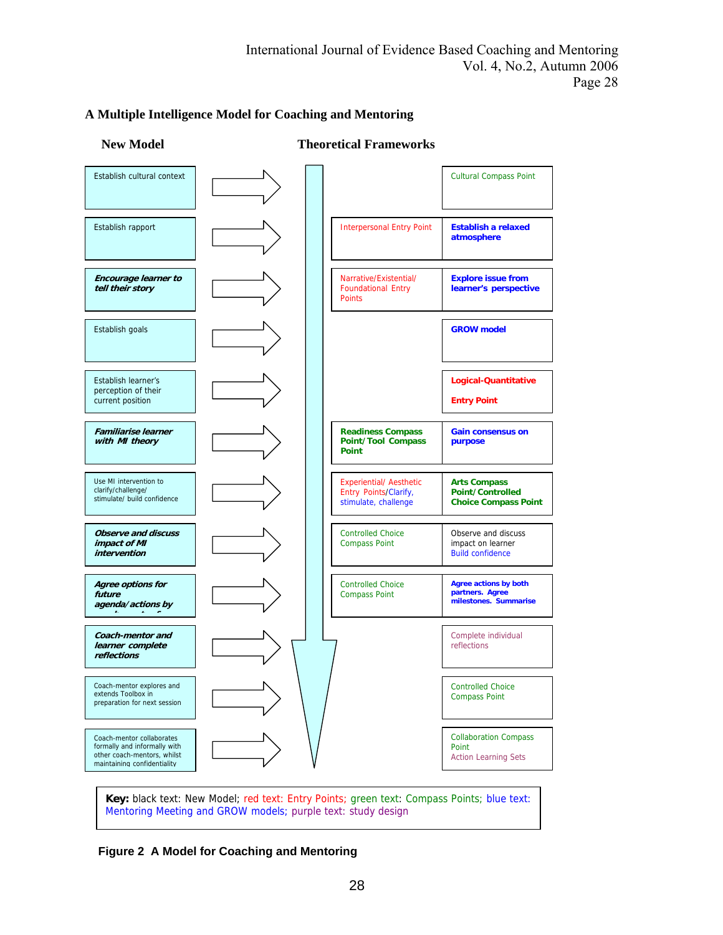

# **A Multiple Intelligence Model for Coaching and Mentoring**

**Key:** black text: New Model; red text: Entry Points; green text: Compass Points; blue text: Mentoring Meeting and GROW models; purple text: study design

## **Figure 2 A Model for Coaching and Mentoring**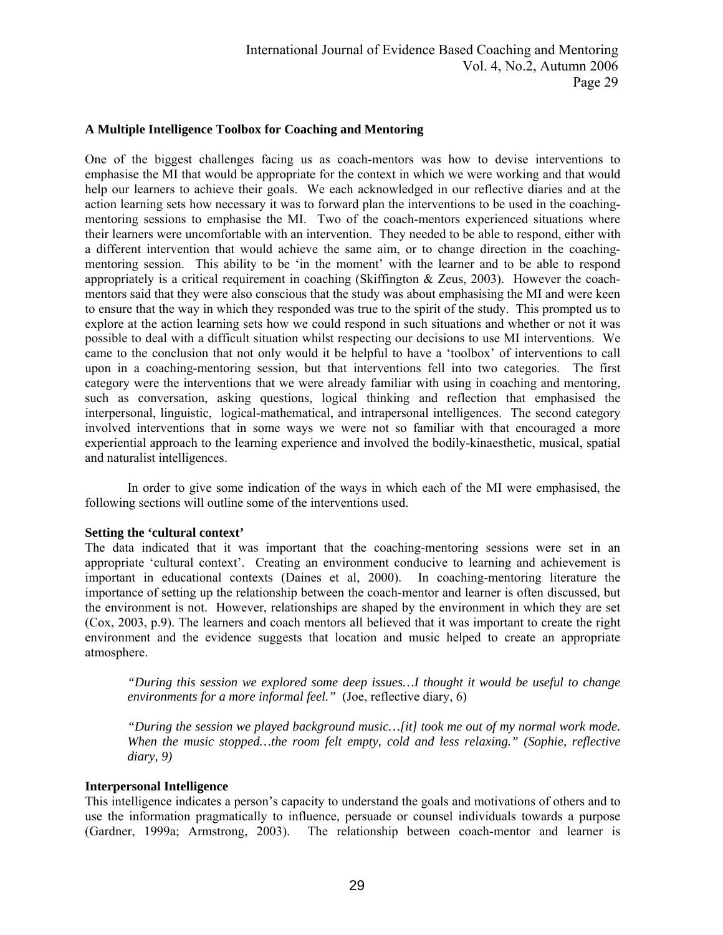## **A Multiple Intelligence Toolbox for Coaching and Mentoring**

One of the biggest challenges facing us as coach-mentors was how to devise interventions to emphasise the MI that would be appropriate for the context in which we were working and that would help our learners to achieve their goals. We each acknowledged in our reflective diaries and at the action learning sets how necessary it was to forward plan the interventions to be used in the coachingmentoring sessions to emphasise the MI. Two of the coach-mentors experienced situations where their learners were uncomfortable with an intervention. They needed to be able to respond, either with a different intervention that would achieve the same aim, or to change direction in the coachingmentoring session. This ability to be 'in the moment' with the learner and to be able to respond appropriately is a critical requirement in coaching (Skiffington & Zeus, 2003). However the coachmentors said that they were also conscious that the study was about emphasising the MI and were keen to ensure that the way in which they responded was true to the spirit of the study. This prompted us to explore at the action learning sets how we could respond in such situations and whether or not it was possible to deal with a difficult situation whilst respecting our decisions to use MI interventions. We came to the conclusion that not only would it be helpful to have a 'toolbox' of interventions to call upon in a coaching-mentoring session, but that interventions fell into two categories. The first category were the interventions that we were already familiar with using in coaching and mentoring, such as conversation, asking questions, logical thinking and reflection that emphasised the interpersonal, linguistic, logical-mathematical, and intrapersonal intelligences. The second category involved interventions that in some ways we were not so familiar with that encouraged a more experiential approach to the learning experience and involved the bodily-kinaesthetic, musical, spatial and naturalist intelligences.

In order to give some indication of the ways in which each of the MI were emphasised, the following sections will outline some of the interventions used.

## **Setting the 'cultural context'**

The data indicated that it was important that the coaching-mentoring sessions were set in an appropriate 'cultural context'. Creating an environment conducive to learning and achievement is important in educational contexts (Daines et al, 2000). In coaching-mentoring literature the importance of setting up the relationship between the coach-mentor and learner is often discussed, but the environment is not. However, relationships are shaped by the environment in which they are set (Cox, 2003, p.9). The learners and coach mentors all believed that it was important to create the right environment and the evidence suggests that location and music helped to create an appropriate atmosphere.

*"During this session we explored some deep issues…I thought it would be useful to change environments for a more informal feel."* (Joe, reflective diary, 6)

*"During the session we played background music…[it] took me out of my normal work mode. When the music stopped…the room felt empty, cold and less relaxing." (Sophie, reflective diary, 9)* 

#### **Interpersonal Intelligence**

This intelligence indicates a person's capacity to understand the goals and motivations of others and to use the information pragmatically to influence, persuade or counsel individuals towards a purpose (Gardner, 1999a; Armstrong, 2003). The relationship between coach-mentor and learner is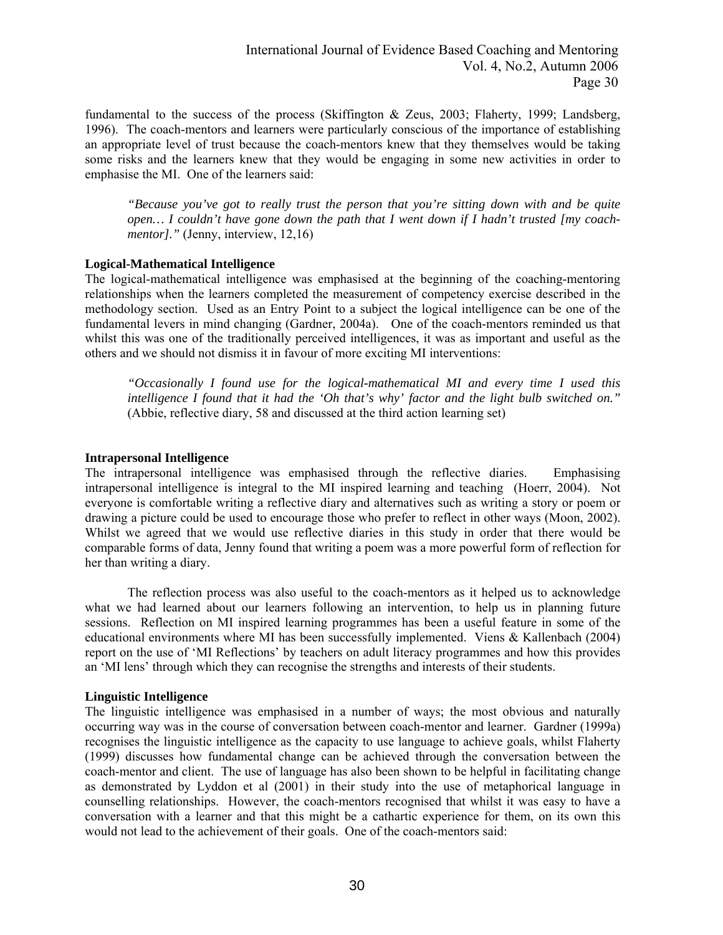fundamental to the success of the process (Skiffington & Zeus, 2003; Flaherty, 1999; Landsberg, 1996). The coach-mentors and learners were particularly conscious of the importance of establishing an appropriate level of trust because the coach-mentors knew that they themselves would be taking some risks and the learners knew that they would be engaging in some new activities in order to emphasise the MI. One of the learners said:

*"Because you've got to really trust the person that you're sitting down with and be quite open… I couldn't have gone down the path that I went down if I hadn't trusted [my coachmentor]."* (Jenny, interview, 12,16)

## **Logical-Mathematical Intelligence**

The logical-mathematical intelligence was emphasised at the beginning of the coaching-mentoring relationships when the learners completed the measurement of competency exercise described in the methodology section. Used as an Entry Point to a subject the logical intelligence can be one of the fundamental levers in mind changing (Gardner, 2004a). One of the coach-mentors reminded us that whilst this was one of the traditionally perceived intelligences, it was as important and useful as the others and we should not dismiss it in favour of more exciting MI interventions:

*"Occasionally I found use for the logical-mathematical MI and every time I used this intelligence I found that it had the 'Oh that's why' factor and the light bulb switched on."* (Abbie, reflective diary, 58 and discussed at the third action learning set)

#### **Intrapersonal Intelligence**

The intrapersonal intelligence was emphasised through the reflective diaries. Emphasising intrapersonal intelligence is integral to the MI inspired learning and teaching (Hoerr, 2004). Not everyone is comfortable writing a reflective diary and alternatives such as writing a story or poem or drawing a picture could be used to encourage those who prefer to reflect in other ways (Moon, 2002). Whilst we agreed that we would use reflective diaries in this study in order that there would be comparable forms of data, Jenny found that writing a poem was a more powerful form of reflection for her than writing a diary.

The reflection process was also useful to the coach-mentors as it helped us to acknowledge what we had learned about our learners following an intervention, to help us in planning future sessions. Reflection on MI inspired learning programmes has been a useful feature in some of the educational environments where MI has been successfully implemented. Viens & Kallenbach (2004) report on the use of 'MI Reflections' by teachers on adult literacy programmes and how this provides an 'MI lens' through which they can recognise the strengths and interests of their students.

## **Linguistic Intelligence**

The linguistic intelligence was emphasised in a number of ways; the most obvious and naturally occurring way was in the course of conversation between coach-mentor and learner. Gardner (1999a) recognises the linguistic intelligence as the capacity to use language to achieve goals, whilst Flaherty (1999) discusses how fundamental change can be achieved through the conversation between the coach-mentor and client. The use of language has also been shown to be helpful in facilitating change as demonstrated by Lyddon et al (2001) in their study into the use of metaphorical language in counselling relationships. However, the coach-mentors recognised that whilst it was easy to have a conversation with a learner and that this might be a cathartic experience for them, on its own this would not lead to the achievement of their goals. One of the coach-mentors said: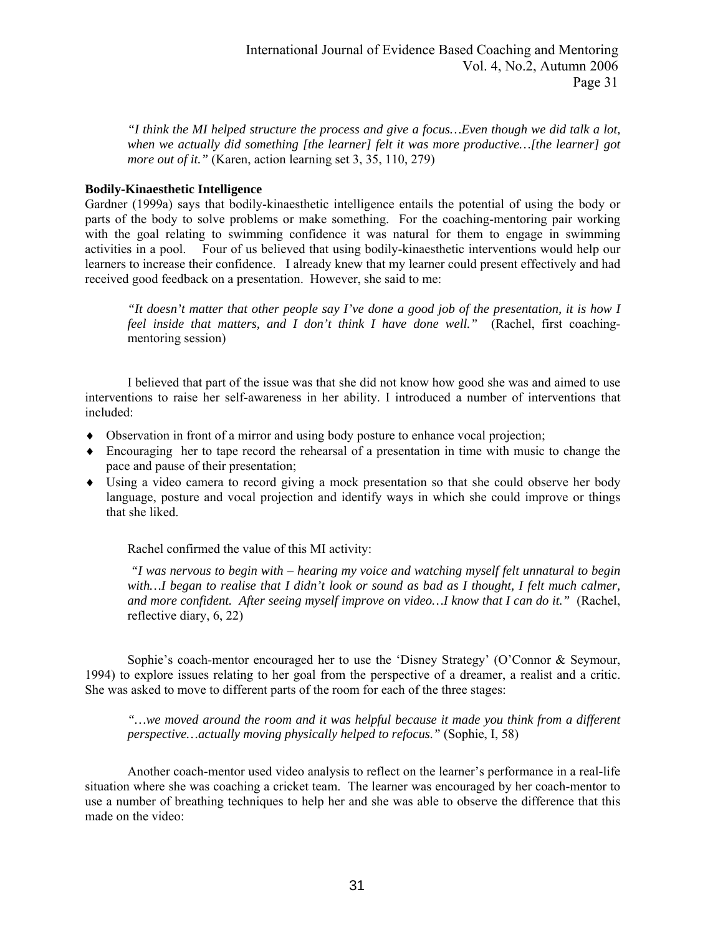*"I think the MI helped structure the process and give a focus…Even though we did talk a lot, when we actually did something [the learner] felt it was more productive…[the learner] got more out of it."* (Karen, action learning set 3, 35, 110, 279)

## **Bodily-Kinaesthetic Intelligence**

Gardner (1999a) says that bodily-kinaesthetic intelligence entails the potential of using the body or parts of the body to solve problems or make something. For the coaching-mentoring pair working with the goal relating to swimming confidence it was natural for them to engage in swimming activities in a pool. Four of us believed that using bodily-kinaesthetic interventions would help our learners to increase their confidence. I already knew that my learner could present effectively and had received good feedback on a presentation. However, she said to me:

*"It doesn't matter that other people say I've done a good job of the presentation, it is how I feel inside that matters, and I don't think I have done well."* (Rachel, first coachingmentoring session)

I believed that part of the issue was that she did not know how good she was and aimed to use interventions to raise her self-awareness in her ability. I introduced a number of interventions that included:

- ♦ Observation in front of a mirror and using body posture to enhance vocal projection;
- ♦ Encouraging her to tape record the rehearsal of a presentation in time with music to change the pace and pause of their presentation;
- ♦ Using a video camera to record giving a mock presentation so that she could observe her body language, posture and vocal projection and identify ways in which she could improve or things that she liked.

Rachel confirmed the value of this MI activity:

*"I was nervous to begin with – hearing my voice and watching myself felt unnatural to begin*  with...I began to realise that I didn't look or sound as bad as I thought, I felt much calmer, *and more confident. After seeing myself improve on video…I know that I can do it."* (Rachel, reflective diary, 6, 22)

Sophie's coach-mentor encouraged her to use the 'Disney Strategy' (O'Connor & Seymour, 1994) to explore issues relating to her goal from the perspective of a dreamer, a realist and a critic. She was asked to move to different parts of the room for each of the three stages:

*"…we moved around the room and it was helpful because it made you think from a different perspective…actually moving physically helped to refocus."* (Sophie, I, 58)

Another coach-mentor used video analysis to reflect on the learner's performance in a real-life situation where she was coaching a cricket team. The learner was encouraged by her coach-mentor to use a number of breathing techniques to help her and she was able to observe the difference that this made on the video: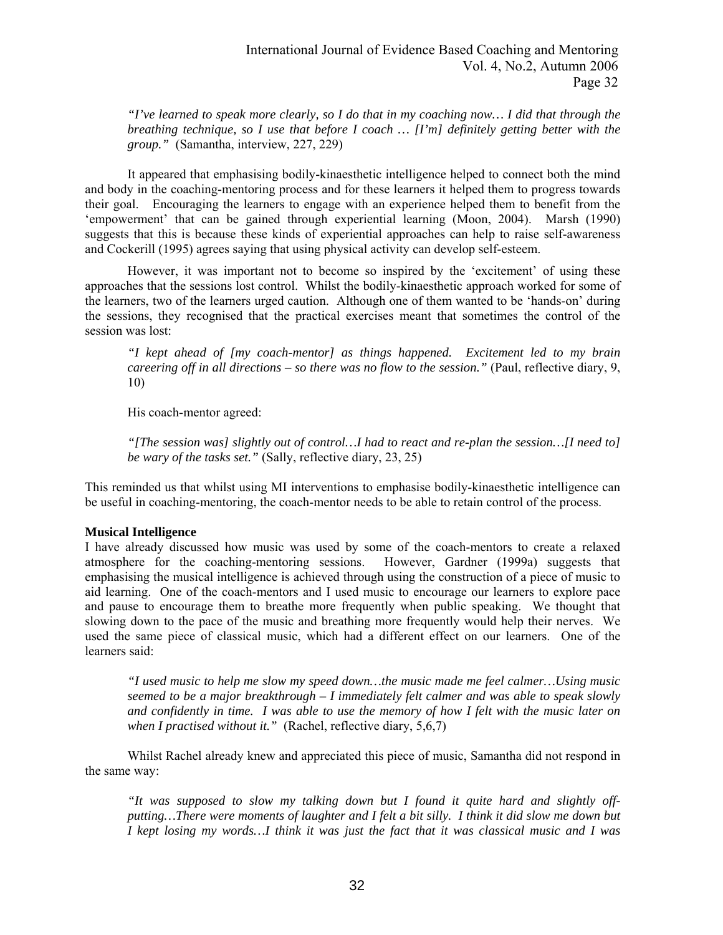*"I've learned to speak more clearly, so I do that in my coaching now… I did that through the breathing technique, so I use that before I coach … [I'm] definitely getting better with the group."* (Samantha, interview, 227, 229)

It appeared that emphasising bodily-kinaesthetic intelligence helped to connect both the mind and body in the coaching-mentoring process and for these learners it helped them to progress towards their goal. Encouraging the learners to engage with an experience helped them to benefit from the 'empowerment' that can be gained through experiential learning (Moon, 2004). Marsh (1990) suggests that this is because these kinds of experiential approaches can help to raise self-awareness and Cockerill (1995) agrees saying that using physical activity can develop self-esteem.

However, it was important not to become so inspired by the 'excitement' of using these approaches that the sessions lost control. Whilst the bodily-kinaesthetic approach worked for some of the learners, two of the learners urged caution. Although one of them wanted to be 'hands-on' during the sessions, they recognised that the practical exercises meant that sometimes the control of the session was lost:

*"I kept ahead of [my coach-mentor] as things happened. Excitement led to my brain careering off in all directions – so there was no flow to the session.*" (Paul, reflective diary, 9, 10)

His coach-mentor agreed:

*"[The session was] slightly out of control…I had to react and re-plan the session…[I need to] be wary of the tasks set."* (Sally, reflective diary, 23, 25)

This reminded us that whilst using MI interventions to emphasise bodily-kinaesthetic intelligence can be useful in coaching-mentoring, the coach-mentor needs to be able to retain control of the process.

## **Musical Intelligence**

I have already discussed how music was used by some of the coach-mentors to create a relaxed atmosphere for the coaching-mentoring sessions. However, Gardner (1999a) suggests that emphasising the musical intelligence is achieved through using the construction of a piece of music to aid learning. One of the coach-mentors and I used music to encourage our learners to explore pace and pause to encourage them to breathe more frequently when public speaking. We thought that slowing down to the pace of the music and breathing more frequently would help their nerves. We used the same piece of classical music, which had a different effect on our learners. One of the learners said:

*"I used music to help me slow my speed down…the music made me feel calmer…Using music seemed to be a major breakthrough – I immediately felt calmer and was able to speak slowly and confidently in time. I was able to use the memory of how I felt with the music later on when I practised without it."* (Rachel, reflective diary, 5,6,7)

Whilst Rachel already knew and appreciated this piece of music, Samantha did not respond in the same way:

*"It was supposed to slow my talking down but I found it quite hard and slightly offputting…There were moments of laughter and I felt a bit silly. I think it did slow me down but I kept losing my words…I think it was just the fact that it was classical music and I was*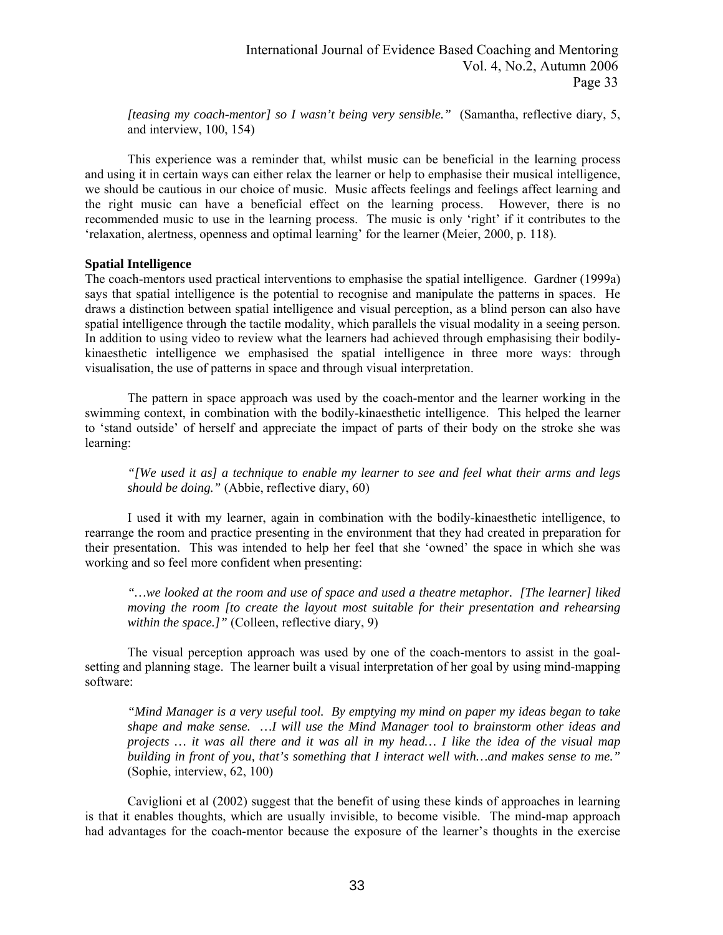*[teasing my coach-mentor] so I wasn't being very sensible."* (Samantha, reflective diary, 5, and interview, 100, 154)

This experience was a reminder that, whilst music can be beneficial in the learning process and using it in certain ways can either relax the learner or help to emphasise their musical intelligence, we should be cautious in our choice of music. Music affects feelings and feelings affect learning and the right music can have a beneficial effect on the learning process. However, there is no recommended music to use in the learning process. The music is only 'right' if it contributes to the 'relaxation, alertness, openness and optimal learning' for the learner (Meier, 2000, p. 118).

## **Spatial Intelligence**

The coach-mentors used practical interventions to emphasise the spatial intelligence. Gardner (1999a) says that spatial intelligence is the potential to recognise and manipulate the patterns in spaces. He draws a distinction between spatial intelligence and visual perception, as a blind person can also have spatial intelligence through the tactile modality, which parallels the visual modality in a seeing person. In addition to using video to review what the learners had achieved through emphasising their bodilykinaesthetic intelligence we emphasised the spatial intelligence in three more ways: through visualisation, the use of patterns in space and through visual interpretation.

The pattern in space approach was used by the coach-mentor and the learner working in the swimming context, in combination with the bodily-kinaesthetic intelligence. This helped the learner to 'stand outside' of herself and appreciate the impact of parts of their body on the stroke she was learning:

*"[We used it as] a technique to enable my learner to see and feel what their arms and legs should be doing."* (Abbie, reflective diary, 60)

I used it with my learner, again in combination with the bodily-kinaesthetic intelligence, to rearrange the room and practice presenting in the environment that they had created in preparation for their presentation. This was intended to help her feel that she 'owned' the space in which she was working and so feel more confident when presenting:

*"…we looked at the room and use of space and used a theatre metaphor. [The learner] liked moving the room [to create the layout most suitable for their presentation and rehearsing within the space.]"* (Colleen, reflective diary, 9)

The visual perception approach was used by one of the coach-mentors to assist in the goalsetting and planning stage. The learner built a visual interpretation of her goal by using mind-mapping software:

*"Mind Manager is a very useful tool. By emptying my mind on paper my ideas began to take shape and make sense. …I will use the Mind Manager tool to brainstorm other ideas and projects … it was all there and it was all in my head… I like the idea of the visual map building in front of you, that's something that I interact well with…and makes sense to me."* (Sophie, interview, 62, 100)

Caviglioni et al (2002) suggest that the benefit of using these kinds of approaches in learning is that it enables thoughts, which are usually invisible, to become visible. The mind-map approach had advantages for the coach-mentor because the exposure of the learner's thoughts in the exercise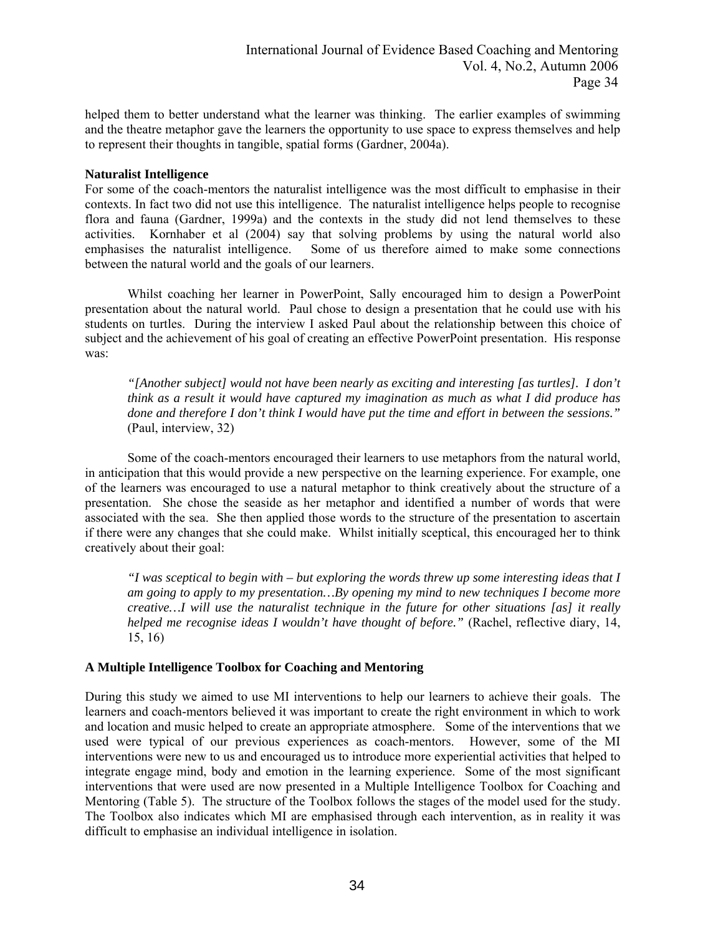helped them to better understand what the learner was thinking. The earlier examples of swimming and the theatre metaphor gave the learners the opportunity to use space to express themselves and help to represent their thoughts in tangible, spatial forms (Gardner, 2004a).

## **Naturalist Intelligence**

For some of the coach-mentors the naturalist intelligence was the most difficult to emphasise in their contexts. In fact two did not use this intelligence. The naturalist intelligence helps people to recognise flora and fauna (Gardner, 1999a) and the contexts in the study did not lend themselves to these activities. Kornhaber et al (2004) say that solving problems by using the natural world also emphasises the naturalist intelligence. Some of us therefore aimed to make some connections between the natural world and the goals of our learners.

Whilst coaching her learner in PowerPoint, Sally encouraged him to design a PowerPoint presentation about the natural world. Paul chose to design a presentation that he could use with his students on turtles. During the interview I asked Paul about the relationship between this choice of subject and the achievement of his goal of creating an effective PowerPoint presentation. His response was:

*"[Another subject] would not have been nearly as exciting and interesting [as turtles]. I don't think as a result it would have captured my imagination as much as what I did produce has done and therefore I don't think I would have put the time and effort in between the sessions."* (Paul, interview, 32)

Some of the coach-mentors encouraged their learners to use metaphors from the natural world, in anticipation that this would provide a new perspective on the learning experience. For example, one of the learners was encouraged to use a natural metaphor to think creatively about the structure of a presentation. She chose the seaside as her metaphor and identified a number of words that were associated with the sea. She then applied those words to the structure of the presentation to ascertain if there were any changes that she could make. Whilst initially sceptical, this encouraged her to think creatively about their goal:

*"I was sceptical to begin with – but exploring the words threw up some interesting ideas that I am going to apply to my presentation…By opening my mind to new techniques I become more creative…I will use the naturalist technique in the future for other situations [as] it really helped me recognise ideas I wouldn't have thought of before."* (Rachel, reflective diary, 14, 15, 16)

## **A Multiple Intelligence Toolbox for Coaching and Mentoring**

During this study we aimed to use MI interventions to help our learners to achieve their goals. The learners and coach-mentors believed it was important to create the right environment in which to work and location and music helped to create an appropriate atmosphere. Some of the interventions that we used were typical of our previous experiences as coach-mentors. However, some of the MI interventions were new to us and encouraged us to introduce more experiential activities that helped to integrate engage mind, body and emotion in the learning experience. Some of the most significant interventions that were used are now presented in a Multiple Intelligence Toolbox for Coaching and Mentoring (Table 5). The structure of the Toolbox follows the stages of the model used for the study. The Toolbox also indicates which MI are emphasised through each intervention, as in reality it was difficult to emphasise an individual intelligence in isolation.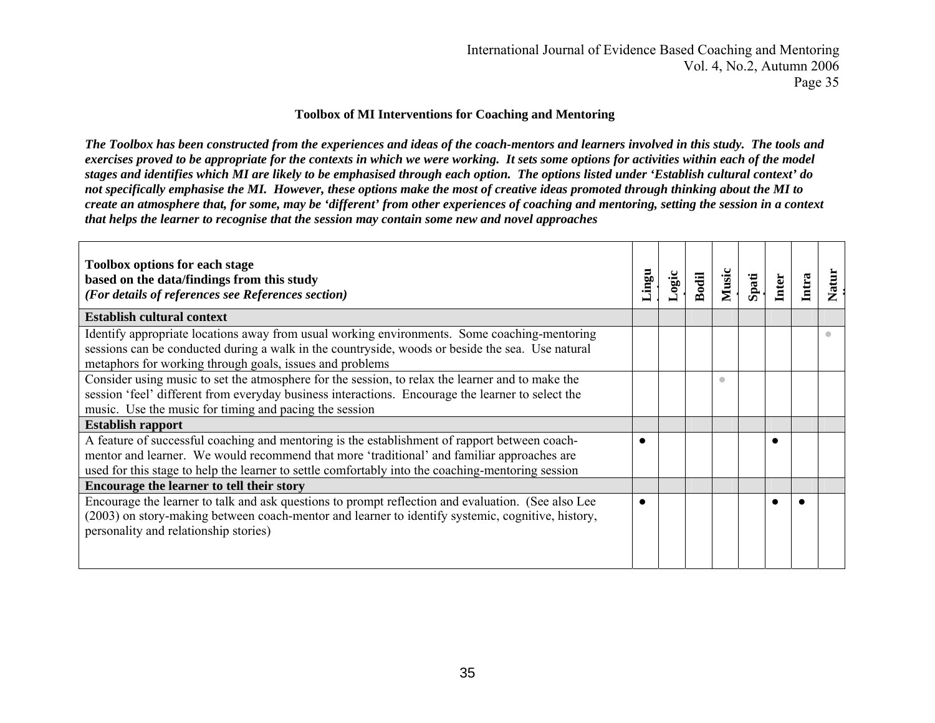#### **Toolbox of MI Interventions for Coaching and Mentoring**

*The Toolbox has been constructed from the experiences and ideas of the coach-mentors and learners involved in this study. The tools and exercises proved to be appropriate for the contexts in which we were working. It sets some options for activities within each of the model stages and identifies which MI are likely to be emphasised through each option. The options listed under 'Establish cultural context' do not specifically emphasise the MI. However, these options make the most of creative ideas promoted through thinking about the MI to create an atmosphere that, for some, may be 'different' from other experiences of coaching and mentoring, setting the session in a context that helps the learner to recognise that the session may contain some new and novel approaches* 

| <b>Toolbox options for each stage</b><br>based on the data/findings from this study<br>(For details of references see References section)                                                                                                                                                        | ugui.     | Logic | Bodil | Music     | Spati | Inter      | Intra | Natur |
|--------------------------------------------------------------------------------------------------------------------------------------------------------------------------------------------------------------------------------------------------------------------------------------------------|-----------|-------|-------|-----------|-------|------------|-------|-------|
| <b>Establish cultural context</b>                                                                                                                                                                                                                                                                |           |       |       |           |       |            |       |       |
| Identify appropriate locations away from usual working environments. Some coaching-mentoring<br>sessions can be conducted during a walk in the countryside, woods or beside the sea. Use natural<br>metaphors for working through goals, issues and problems                                     |           |       |       |           |       |            |       |       |
| Consider using music to set the atmosphere for the session, to relax the learner and to make the<br>session 'feel' different from everyday business interactions. Encourage the learner to select the<br>music. Use the music for timing and pacing the session                                  |           |       |       | $\bullet$ |       |            |       |       |
| <b>Establish rapport</b>                                                                                                                                                                                                                                                                         |           |       |       |           |       |            |       |       |
| A feature of successful coaching and mentoring is the establishment of rapport between coach-<br>mentor and learner. We would recommend that more 'traditional' and familiar approaches are<br>used for this stage to help the learner to settle comfortably into the coaching-mentoring session |           |       |       |           |       | $\epsilon$ |       |       |
| Encourage the learner to tell their story                                                                                                                                                                                                                                                        |           |       |       |           |       |            |       |       |
| Encourage the learner to talk and ask questions to prompt reflection and evaluation. (See also Lee<br>(2003) on story-making between coach-mentor and learner to identify systemic, cognitive, history,<br>personality and relationship stories)                                                 | $\bullet$ |       |       |           |       | $\bullet$  |       |       |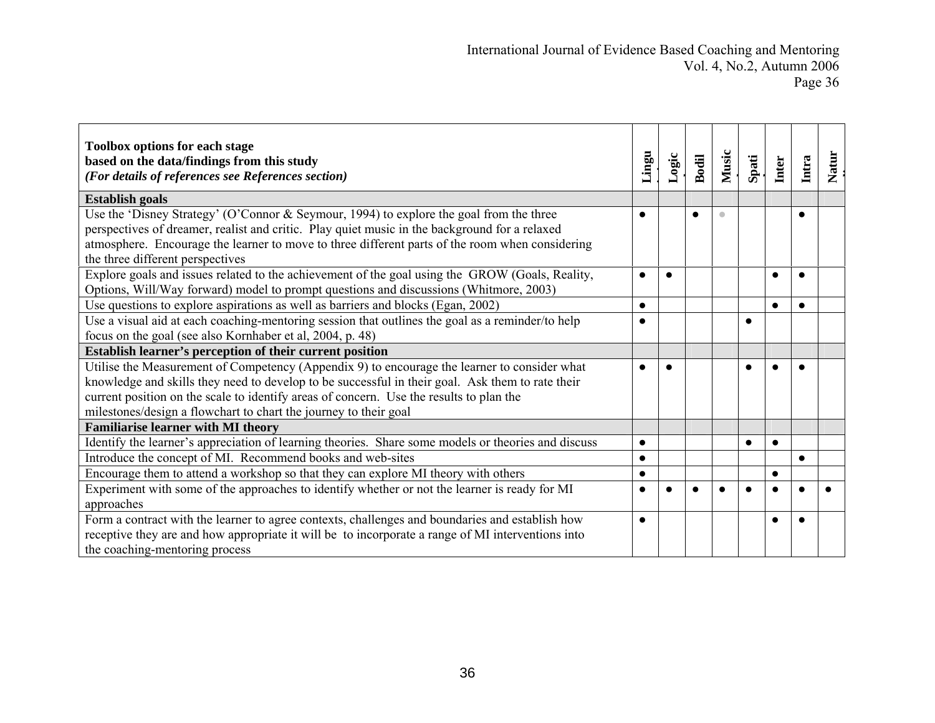| <b>Toolbox options for each stage</b><br>based on the data/findings from this study<br>(For details of references see References section)                                                                                                                                                                                                                       | Lingu     | Logic | Bodil | Music                   | Spati | Inter     | Intra     | Natur |
|-----------------------------------------------------------------------------------------------------------------------------------------------------------------------------------------------------------------------------------------------------------------------------------------------------------------------------------------------------------------|-----------|-------|-------|-------------------------|-------|-----------|-----------|-------|
| <b>Establish goals</b>                                                                                                                                                                                                                                                                                                                                          |           |       |       |                         |       |           |           |       |
| Use the 'Disney Strategy' (O'Connor & Seymour, 1994) to explore the goal from the three<br>perspectives of dreamer, realist and critic. Play quiet music in the background for a relaxed<br>atmosphere. Encourage the learner to move to three different parts of the room when considering<br>the three different perspectives                                 | 0         |       |       | $\qquad \qquad \bullet$ |       |           | $\bullet$ |       |
| Explore goals and issues related to the achievement of the goal using the GROW (Goals, Reality,<br>Options, Will/Way forward) model to prompt questions and discussions (Whitmore, 2003)                                                                                                                                                                        | $\bullet$ |       |       |                         |       |           |           |       |
| Use questions to explore aspirations as well as barriers and blocks (Egan, 2002)                                                                                                                                                                                                                                                                                | $\bullet$ |       |       |                         |       | $\bullet$ | $\bullet$ |       |
| Use a visual aid at each coaching-mentoring session that outlines the goal as a reminder/to help<br>focus on the goal (see also Kornhaber et al, 2004, p. 48)                                                                                                                                                                                                   | $\bullet$ |       |       |                         |       |           |           |       |
| Establish learner's perception of their current position                                                                                                                                                                                                                                                                                                        |           |       |       |                         |       |           |           |       |
| Utilise the Measurement of Competency (Appendix 9) to encourage the learner to consider what<br>knowledge and skills they need to develop to be successful in their goal. Ask them to rate their<br>current position on the scale to identify areas of concern. Use the results to plan the<br>milestones/design a flowchart to chart the journey to their goal |           |       |       |                         |       |           |           |       |
| <b>Familiarise learner with MI theory</b>                                                                                                                                                                                                                                                                                                                       |           |       |       |                         |       |           |           |       |
| Identify the learner's appreciation of learning theories. Share some models or theories and discuss                                                                                                                                                                                                                                                             | $\bullet$ |       |       |                         |       | $\bullet$ |           |       |
| Introduce the concept of MI. Recommend books and web-sites                                                                                                                                                                                                                                                                                                      | $\bullet$ |       |       |                         |       |           | $\bullet$ |       |
| Encourage them to attend a workshop so that they can explore MI theory with others                                                                                                                                                                                                                                                                              | $\bullet$ |       |       |                         |       | $\bullet$ |           |       |
| Experiment with some of the approaches to identify whether or not the learner is ready for MI<br>approaches                                                                                                                                                                                                                                                     | 0         |       |       |                         |       |           |           |       |
| Form a contract with the learner to agree contexts, challenges and boundaries and establish how<br>receptive they are and how appropriate it will be to incorporate a range of MI interventions into<br>the coaching-mentoring process                                                                                                                          | $\bullet$ |       |       |                         |       | $\bullet$ |           |       |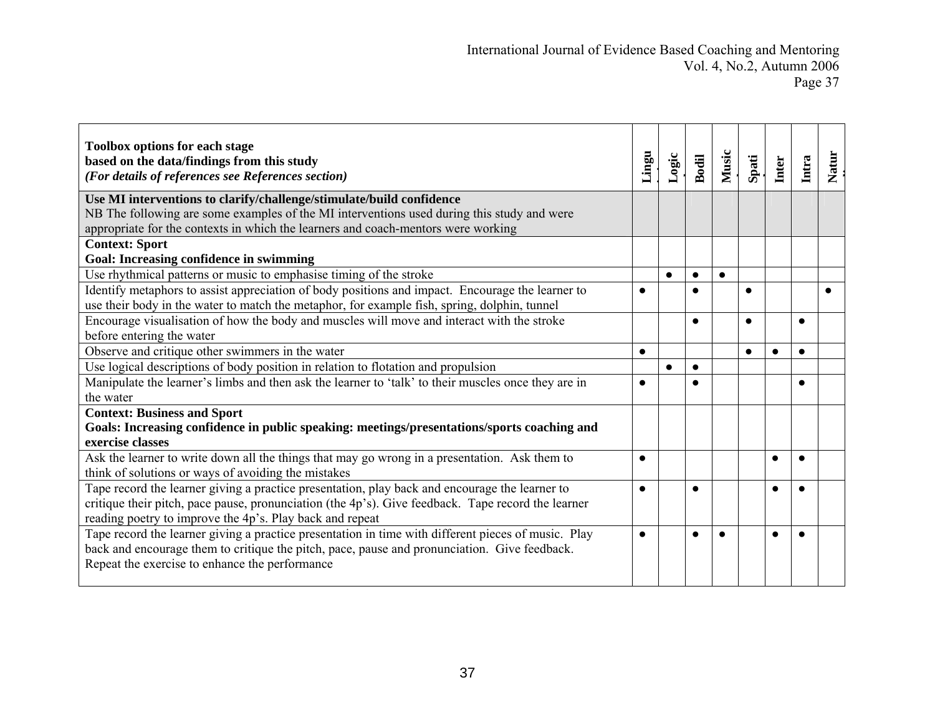| <b>Toolbox options for each stage</b><br>based on the data/findings from this study<br>(For details of references see References section) | Lingu     | Logic     | Bodil     | Music     | Spati     | Inter     | Intra     | <b>Natur</b> |
|-------------------------------------------------------------------------------------------------------------------------------------------|-----------|-----------|-----------|-----------|-----------|-----------|-----------|--------------|
| Use MI interventions to clarify/challenge/stimulate/build confidence                                                                      |           |           |           |           |           |           |           |              |
| NB The following are some examples of the MI interventions used during this study and were                                                |           |           |           |           |           |           |           |              |
| appropriate for the contexts in which the learners and coach-mentors were working                                                         |           |           |           |           |           |           |           |              |
| <b>Context: Sport</b>                                                                                                                     |           |           |           |           |           |           |           |              |
| Goal: Increasing confidence in swimming                                                                                                   |           |           |           |           |           |           |           |              |
| Use rhythmical patterns or music to emphasise timing of the stroke                                                                        |           | $\bullet$ | $\bullet$ | $\bullet$ |           |           |           |              |
| Identify metaphors to assist appreciation of body positions and impact. Encourage the learner to                                          | $\bullet$ |           |           |           | $\bullet$ |           |           |              |
| use their body in the water to match the metaphor, for example fish, spring, dolphin, tunnel                                              |           |           |           |           |           |           |           |              |
| Encourage visualisation of how the body and muscles will move and interact with the stroke                                                |           |           | $\bullet$ |           |           |           | $\bullet$ |              |
| before entering the water                                                                                                                 |           |           |           |           |           |           |           |              |
| Observe and critique other swimmers in the water                                                                                          | $\bullet$ |           |           |           |           | $\bullet$ | $\bullet$ |              |
| Use logical descriptions of body position in relation to flotation and propulsion                                                         |           | $\bullet$ | $\bullet$ |           |           |           |           |              |
| Manipulate the learner's limbs and then ask the learner to 'talk' to their muscles once they are in                                       | $\bullet$ |           |           |           |           |           |           |              |
| the water                                                                                                                                 |           |           |           |           |           |           |           |              |
| <b>Context: Business and Sport</b>                                                                                                        |           |           |           |           |           |           |           |              |
| Goals: Increasing confidence in public speaking: meetings/presentations/sports coaching and                                               |           |           |           |           |           |           |           |              |
| exercise classes                                                                                                                          |           |           |           |           |           |           |           |              |
| Ask the learner to write down all the things that may go wrong in a presentation. Ask them to                                             | $\bullet$ |           |           |           |           | $\bullet$ | $\bullet$ |              |
| think of solutions or ways of avoiding the mistakes                                                                                       |           |           |           |           |           |           |           |              |
| Tape record the learner giving a practice presentation, play back and encourage the learner to                                            | $\bullet$ |           | $\bullet$ |           |           | $\bullet$ |           |              |
| critique their pitch, pace pause, pronunciation (the 4p's). Give feedback. Tape record the learner                                        |           |           |           |           |           |           |           |              |
| reading poetry to improve the 4p's. Play back and repeat                                                                                  |           |           |           |           |           |           |           |              |
| Tape record the learner giving a practice presentation in time with different pieces of music. Play                                       | $\bullet$ |           |           | $\bullet$ |           | $\bullet$ |           |              |
| back and encourage them to critique the pitch, pace, pause and pronunciation. Give feedback.                                              |           |           |           |           |           |           |           |              |
| Repeat the exercise to enhance the performance                                                                                            |           |           |           |           |           |           |           |              |
|                                                                                                                                           |           |           |           |           |           |           |           |              |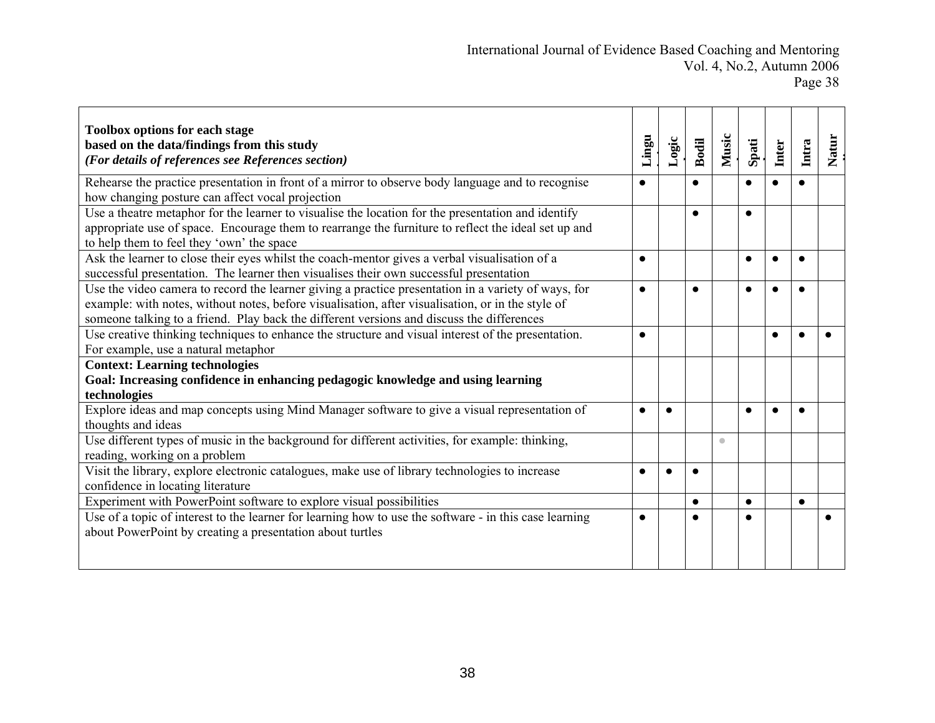| <b>Toolbox options for each stage</b><br>based on the data/findings from this study<br>(For details of references see References section)                                                                                                                                                             | Lingu     | Logic | <b>Bodil</b> | Music     | Spati     | Inter     | Intra     | <b>Natur</b> |
|-------------------------------------------------------------------------------------------------------------------------------------------------------------------------------------------------------------------------------------------------------------------------------------------------------|-----------|-------|--------------|-----------|-----------|-----------|-----------|--------------|
| Rehearse the practice presentation in front of a mirror to observe body language and to recognise<br>how changing posture can affect vocal projection                                                                                                                                                 | $\bullet$ |       | $\bullet$    |           | $\bullet$ | $\bullet$ |           |              |
| Use a theatre metaphor for the learner to visualise the location for the presentation and identify<br>appropriate use of space. Encourage them to rearrange the furniture to reflect the ideal set up and<br>to help them to feel they 'own' the space                                                |           |       | $\bullet$    |           | $\bullet$ |           |           |              |
| Ask the learner to close their eyes whilst the coach-mentor gives a verbal visualisation of a<br>successful presentation. The learner then visualises their own successful presentation                                                                                                               | $\bullet$ |       |              |           | $\bullet$ |           | $\bullet$ |              |
| Use the video camera to record the learner giving a practice presentation in a variety of ways, for<br>example: with notes, without notes, before visualisation, after visualisation, or in the style of<br>someone talking to a friend. Play back the different versions and discuss the differences | $\bullet$ |       |              |           |           |           |           |              |
| Use creative thinking techniques to enhance the structure and visual interest of the presentation.<br>For example, use a natural metaphor                                                                                                                                                             | $\bullet$ |       |              |           |           | $\bullet$ |           |              |
| <b>Context: Learning technologies</b><br>Goal: Increasing confidence in enhancing pedagogic knowledge and using learning<br>technologies                                                                                                                                                              |           |       |              |           |           |           |           |              |
| Explore ideas and map concepts using Mind Manager software to give a visual representation of<br>thoughts and ideas                                                                                                                                                                                   | $\bullet$ |       |              |           |           |           |           |              |
| Use different types of music in the background for different activities, for example: thinking,<br>reading, working on a problem                                                                                                                                                                      |           |       |              | $\bullet$ |           |           |           |              |
| Visit the library, explore electronic catalogues, make use of library technologies to increase<br>confidence in locating literature                                                                                                                                                                   | $\bullet$ |       |              |           |           |           |           |              |
| Experiment with PowerPoint software to explore visual possibilities                                                                                                                                                                                                                                   |           |       | $\bullet$    |           | $\bullet$ |           | $\bullet$ |              |
| Use of a topic of interest to the learner for learning how to use the software - in this case learning<br>about PowerPoint by creating a presentation about turtles                                                                                                                                   | $\bullet$ |       | $\bullet$    |           |           |           |           |              |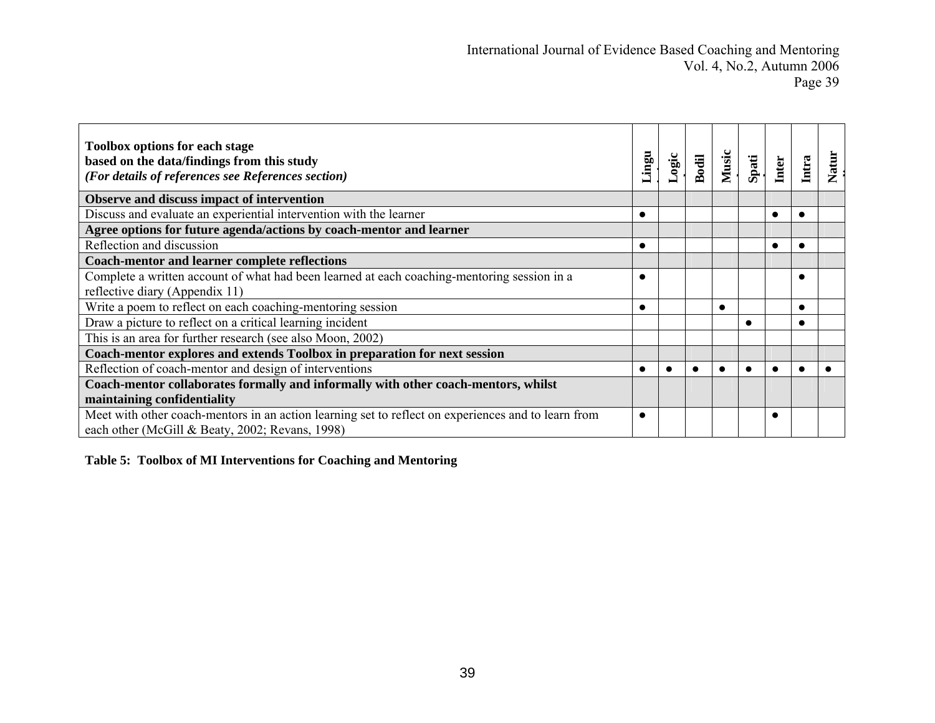| <b>Toolbox options for each stage</b><br>based on the data/findings from this study<br>(For details of references see References section)              | ugui.     | ogic | Bodil | Music     | Spati | <b>Inter</b> | Intra     | <b>Natur</b> |
|--------------------------------------------------------------------------------------------------------------------------------------------------------|-----------|------|-------|-----------|-------|--------------|-----------|--------------|
| Observe and discuss impact of intervention                                                                                                             |           |      |       |           |       |              |           |              |
| Discuss and evaluate an experiential intervention with the learner                                                                                     |           |      |       |           |       | $\bullet$    | $\bullet$ |              |
| Agree options for future agenda/actions by coach-mentor and learner                                                                                    |           |      |       |           |       |              |           |              |
| Reflection and discussion                                                                                                                              | $\bullet$ |      |       |           |       |              |           |              |
| <b>Coach-mentor and learner complete reflections</b>                                                                                                   |           |      |       |           |       |              |           |              |
| Complete a written account of what had been learned at each coaching-mentoring session in a                                                            | О         |      |       |           |       |              | $\bullet$ |              |
| reflective diary (Appendix 11)                                                                                                                         |           |      |       |           |       |              |           |              |
| Write a poem to reflect on each coaching-mentoring session                                                                                             |           |      |       | $\bullet$ |       |              | $\bullet$ |              |
| Draw a picture to reflect on a critical learning incident                                                                                              |           |      |       |           |       |              |           |              |
| This is an area for further research (see also Moon, 2002)                                                                                             |           |      |       |           |       |              |           |              |
| Coach-mentor explores and extends Toolbox in preparation for next session                                                                              |           |      |       |           |       |              |           |              |
| Reflection of coach-mentor and design of interventions                                                                                                 |           |      |       |           |       |              |           |              |
| Coach-mentor collaborates formally and informally with other coach-mentors, whilst<br>maintaining confidentiality                                      |           |      |       |           |       |              |           |              |
| Meet with other coach-mentors in an action learning set to reflect on experiences and to learn from<br>each other (McGill & Beaty, 2002; Revans, 1998) |           |      |       |           |       |              |           |              |

**Table 5: Toolbox of MI Interventions for Coaching and Mentoring**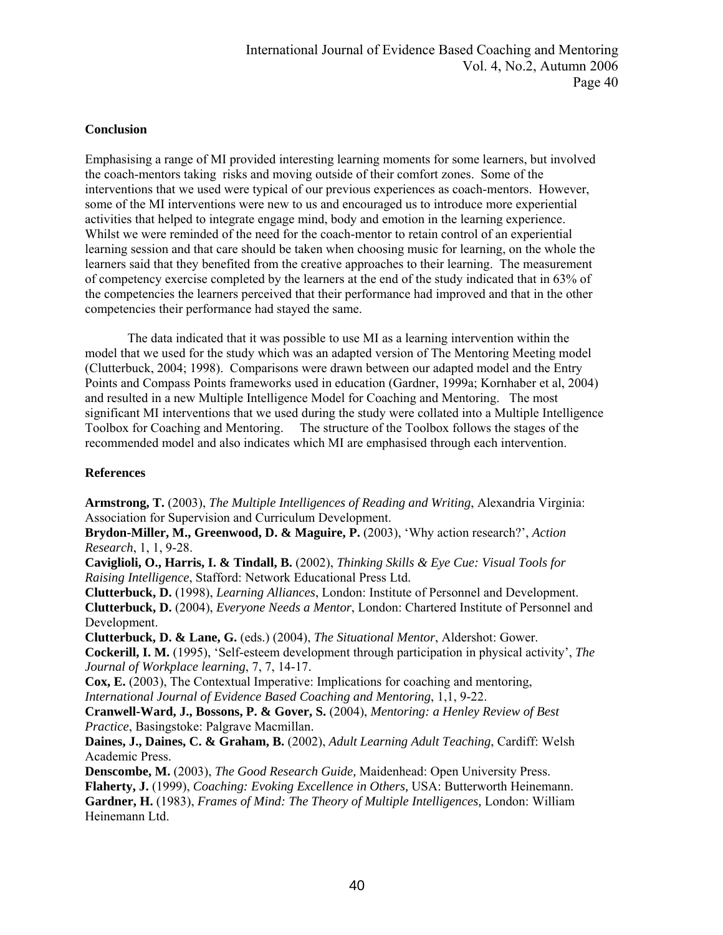# **Conclusion**

Emphasising a range of MI provided interesting learning moments for some learners, but involved the coach-mentors taking risks and moving outside of their comfort zones. Some of the interventions that we used were typical of our previous experiences as coach-mentors. However, some of the MI interventions were new to us and encouraged us to introduce more experiential activities that helped to integrate engage mind, body and emotion in the learning experience. Whilst we were reminded of the need for the coach-mentor to retain control of an experiential learning session and that care should be taken when choosing music for learning, on the whole the learners said that they benefited from the creative approaches to their learning. The measurement of competency exercise completed by the learners at the end of the study indicated that in 63% of the competencies the learners perceived that their performance had improved and that in the other competencies their performance had stayed the same.

The data indicated that it was possible to use MI as a learning intervention within the model that we used for the study which was an adapted version of The Mentoring Meeting model (Clutterbuck, 2004; 1998). Comparisons were drawn between our adapted model and the Entry Points and Compass Points frameworks used in education (Gardner, 1999a; Kornhaber et al, 2004) and resulted in a new Multiple Intelligence Model for Coaching and Mentoring. The most significant MI interventions that we used during the study were collated into a Multiple Intelligence Toolbox for Coaching and Mentoring. The structure of the Toolbox follows the stages of the recommended model and also indicates which MI are emphasised through each intervention.

## **References**

**Armstrong, T.** (2003), *The Multiple Intelligences of Reading and Writing*, Alexandria Virginia: Association for Supervision and Curriculum Development.

**Brydon-Miller, M., Greenwood, D. & Maguire, P.** (2003), 'Why action research?', *Action Research*, 1, 1, 9-28.

**Caviglioli, O., Harris, I. & Tindall, B.** (2002), *Thinking Skills & Eye Cue: Visual Tools for Raising Intelligence*, Stafford: Network Educational Press Ltd.

**Clutterbuck, D.** (1998), *Learning Alliances*, London: Institute of Personnel and Development. **Clutterbuck, D.** (2004), *Everyone Needs a Mentor*, London: Chartered Institute of Personnel and Development.

**Clutterbuck, D. & Lane, G.** (eds.) (2004), *The Situational Mentor*, Aldershot: Gower.

**Cockerill, I. M.** (1995), 'Self-esteem development through participation in physical activity', *The Journal of Workplace learning*, 7, 7, 14-17.

**Cox, E.** (2003), The Contextual Imperative: Implications for coaching and mentoring, *International Journal of Evidence Based Coaching and Mentoring*, 1,1, 9-22.

**Cranwell-Ward, J., Bossons, P. & Gover, S.** (2004), *Mentoring: a Henley Review of Best Practice*, Basingstoke: Palgrave Macmillan.

**Daines, J., Daines, C. & Graham, B.** (2002), *Adult Learning Adult Teaching*, Cardiff: Welsh Academic Press.

**Denscombe, M.** (2003), *The Good Research Guide,* Maidenhead: Open University Press.

**Flaherty, J.** (1999), *Coaching: Evoking Excellence in Others,* USA: Butterworth Heinemann.

**Gardner, H.** (1983), *Frames of Mind: The Theory of Multiple Intelligences,* London: William Heinemann Ltd.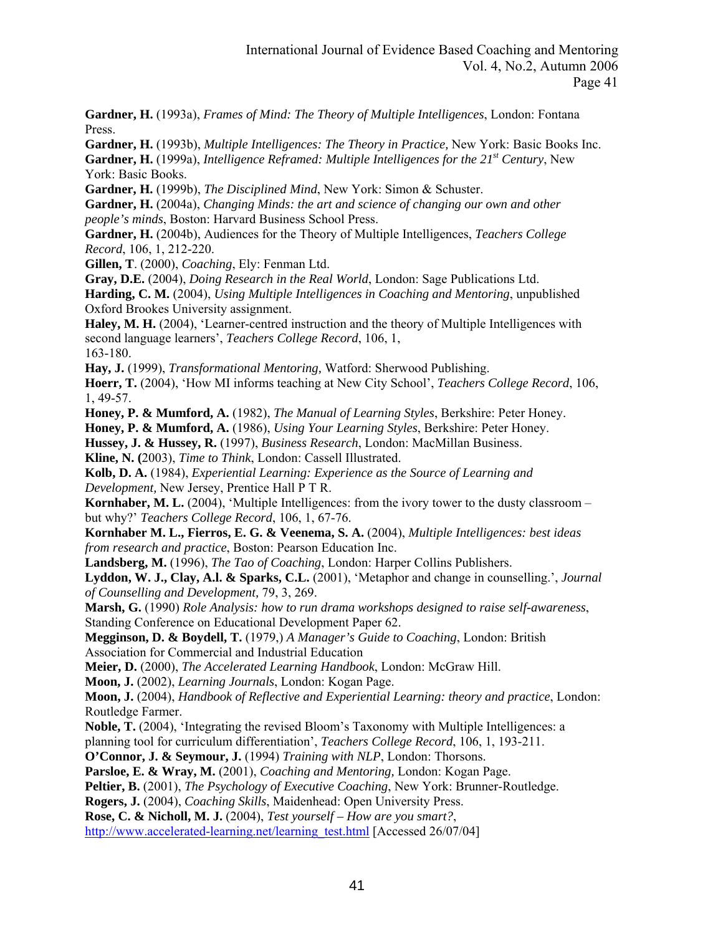**Gardner, H.** (1993a), *Frames of Mind: The Theory of Multiple Intelligences*, London: Fontana Press.

**Gardner, H.** (1993b), *Multiple Intelligences: The Theory in Practice,* New York: Basic Books Inc. Gardner, H. (1999a), *Intelligence Reframed: Multiple Intelligences for the 21<sup>st</sup> Century*, New York: Basic Books.

**Gardner, H.** (1999b), *The Disciplined Mind*, New York: Simon & Schuster.

**Gardner, H.** (2004a), *Changing Minds: the art and science of changing our own and other people's minds*, Boston: Harvard Business School Press.

**Gardner, H.** (2004b), Audiences for the Theory of Multiple Intelligences, *Teachers College Record*, 106, 1, 212-220.

**Gillen, T**. (2000), *Coaching*, Ely: Fenman Ltd.

**Gray, D.E.** (2004), *Doing Research in the Real World*, London: Sage Publications Ltd.

**Harding, C. M.** (2004), *Using Multiple Intelligences in Coaching and Mentoring*, unpublished Oxford Brookes University assignment.

**Haley, M. H.** (2004), 'Learner-centred instruction and the theory of Multiple Intelligences with second language learners', *Teachers College Record*, 106, 1, 163-180.

**Hay, J.** (1999), *Transformational Mentoring,* Watford: Sherwood Publishing.

**Hoerr, T.** (2004), 'How MI informs teaching at New City School', *Teachers College Record*, 106, 1, 49-57.

**Honey, P. & Mumford, A.** (1982), *The Manual of Learning Styles*, Berkshire: Peter Honey.

**Honey, P. & Mumford, A.** (1986), *Using Your Learning Styles*, Berkshire: Peter Honey.

**Hussey, J. & Hussey, R.** (1997), *Business Research*, London: MacMillan Business.

**Kline, N. (**2003), *Time to Think*, London: Cassell Illustrated.

**Kolb, D. A.** (1984), *Experiential Learning: Experience as the Source of Learning and Development,* New Jersey, Prentice Hall P T R.

**Kornhaber, M. L.** (2004), 'Multiple Intelligences: from the ivory tower to the dusty classroom – but why?' *Teachers College Record*, 106, 1, 67-76.

**Kornhaber M. L., Fierros, E. G. & Veenema, S. A.** (2004), *Multiple Intelligences: best ideas from research and practice*, Boston: Pearson Education Inc.

**Landsberg, M.** (1996), *The Tao of Coaching*, London: Harper Collins Publishers.

**Lyddon, W. J., Clay, A.l. & Sparks, C.L.** (2001), 'Metaphor and change in counselling.', *Journal of Counselling and Development,* 79, 3, 269.

**Marsh, G.** (1990) *Role Analysis: how to run drama workshops designed to raise self-awareness*, Standing Conference on Educational Development Paper 62.

**Megginson, D. & Boydell, T.** (1979,) *A Manager's Guide to Coaching*, London: British Association for Commercial and Industrial Education

**Meier, D.** (2000), *The Accelerated Learning Handbook*, London: McGraw Hill.

**Moon, J.** (2002), *Learning Journals*, London: Kogan Page.

**Moon, J.** (2004), *Handbook of Reflective and Experiential Learning: theory and practice*, London: Routledge Farmer.

**Noble, T.** (2004), 'Integrating the revised Bloom's Taxonomy with Multiple Intelligences: a

planning tool for curriculum differentiation', *Teachers College Record*, 106, 1, 193-211.

**O'Connor, J. & Seymour, J.** (1994) *Training with NLP*, London: Thorsons.

**Parsloe, E. & Wray, M.** (2001), *Coaching and Mentoring,* London: Kogan Page.

**Peltier, B.** (2001), *The Psychology of Executive Coaching*, New York: Brunner-Routledge.

**Rogers, J.** (2004), *Coaching Skills*, Maidenhead: Open University Press.

**Rose, C. & Nicholl, M. J.** (2004), *Test yourself – How are you smart?*,

[http://www.accelerated-learning.net/learning\\_test.html](http://www.accelerated-learning.net/learning_test.html) [Accessed 26/07/04]